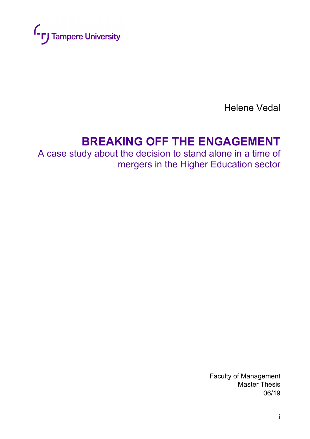

Helene Vedal

# **BREAKING OFF THE ENGAGEMENT**

A case study about the decision to stand alone in a time of mergers in the Higher Education sector

> Faculty of Management Master Thesis 06/19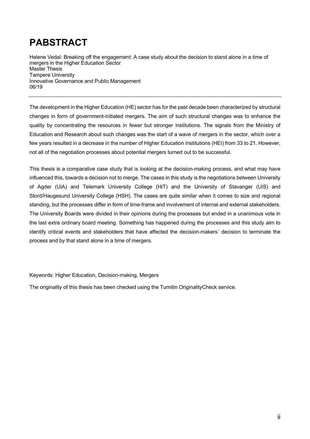# **PABSTRACT**

Helene Vedal: Breaking off the engagement: A case study about the decision to stand alone in a time of mergers in the Higher Education Sector Master Thesis Tampere University Innovative Governance and Public Management 06/19

The development in the Higher Education (HE) sector has for the past decade been characterized by structural changes in form of government-initiated mergers. The aim of such structural changes was to enhance the quality by concentrating the resources in fewer but stronger institutions. The signals from the Ministry of Education and Research about such changes was the start of a wave of mergers in the sector, which over a few years resulted in a decrease in the number of Higher Education Institutions (HEI) from 33 to 21. However, not all of the negotiation processes about potential mergers turned out to be successful.

This thesis is a comparative case study that is looking at the decision-making process, and what may have influenced this, towards a decision not to merge. The cases in this study is the negotiations between University of Agder (UiA) and Telemark University College (HiT) and the University of Stavanger (UiS) and Stord/Haugesund University College (HSH). The cases are quite similar when it comes to size and regional standing, but the processes differ in form of time-frame and involvement of internal and external stakeholders. The University Boards were divided in their opinions during the processes but ended in a unanimous vote in the last extra ordinary board meeting. Something has happened during the processes and this study aim to identify critical events and stakeholders that have affected the decision-makers´ decision to terminate the process and by that stand alone in a time of mergers.

#### Keywords: Higher Education, Decision-making, Mergers

The originality of this thesis has been checked using the Turnitin OriginalityCheck service.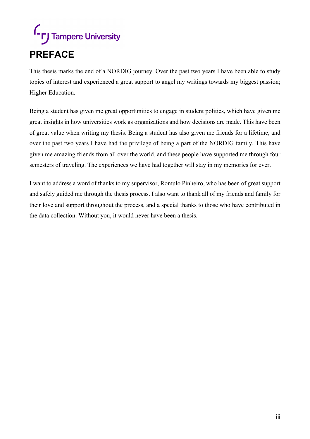# **L**<sub>L</sub> Tampere University **PREFACE**

This thesis marks the end of a NORDIG journey. Over the past two years I have been able to study topics of interest and experienced a great support to angel my writings towards my biggest passion; Higher Education.

Being a student has given me great opportunities to engage in student politics, which have given me great insights in how universities work as organizations and how decisions are made. This have been of great value when writing my thesis. Being a student has also given me friends for a lifetime, and over the past two years I have had the privilege of being a part of the NORDIG family. This have given me amazing friends from all over the world, and these people have supported me through four semesters of traveling. The experiences we have had together will stay in my memories for ever.

I want to address a word of thanks to my supervisor, Romulo Pinheiro, who has been of great support and safely guided me through the thesis process. I also want to thank all of my friends and family for their love and support throughout the process, and a special thanks to those who have contributed in the data collection. Without you, it would never have been a thesis.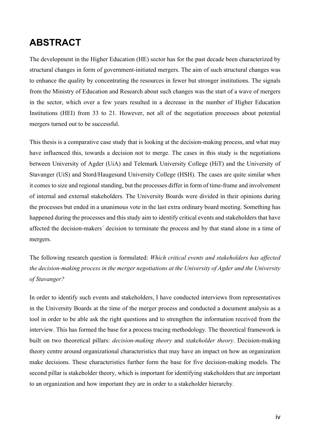# **ABSTRACT**

The development in the Higher Education (HE) sector has for the past decade been characterized by structural changes in form of government-initiated mergers. The aim of such structural changes was to enhance the quality by concentrating the resources in fewer but stronger institutions. The signals from the Ministry of Education and Research about such changes was the start of a wave of mergers in the sector, which over a few years resulted in a decrease in the number of Higher Education Institutions (HEI) from 33 to 21. However, not all of the negotiation processes about potential mergers turned out to be successful.

This thesis is a comparative case study that is looking at the decision-making process, and what may have influenced this, towards a decision not to merge. The cases in this study is the negotiations between University of Agder (UiA) and Telemark University College (HiT) and the University of Stavanger (UiS) and Stord/Haugesund University College (HSH). The cases are quite similar when it comes to size and regional standing, but the processes differ in form of time-frame and involvement of internal and external stakeholders. The University Boards were divided in their opinions during the processes but ended in a unanimous vote in the last extra ordinary board meeting. Something has happened during the processes and this study aim to identify critical events and stakeholders that have affected the decision-makers´ decision to terminate the process and by that stand alone in a time of mergers.

The following research question is formulated: *Which critical events and stakeholders has affected the decision-making process in the merger negotiations at the University of Agder and the University of Stavanger?*

In order to identify such events and stakeholders, I have conducted interviews from representatives in the University Boards at the time of the merger process and conducted a document analysis as a tool in order to be able ask the right questions and to strengthen the information received from the interview. This has formed the base for a process tracing methodology. The theoretical framework is built on two theoretical pillars: *decision-making theory* and *stakeholder theory*. Decision-making theory centre around organizational characteristics that may have an impact on how an organization make decisions. These characteristics further form the base for five decision-making models. The second pillar is stakeholder theory, which is important for identifying stakeholders that are important to an organization and how important they are in order to a stakeholder hierarchy.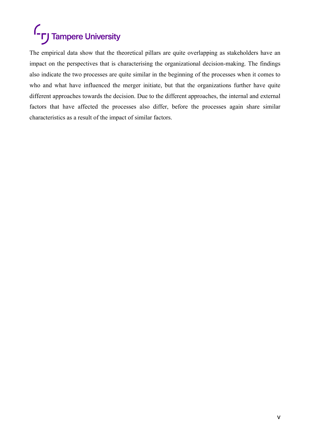# **C**<sub>r</sub> Tampere University

The empirical data show that the theoretical pillars are quite overlapping as stakeholders have an impact on the perspectives that is characterising the organizational decision-making. The findings also indicate the two processes are quite similar in the beginning of the processes when it comes to who and what have influenced the merger initiate, but that the organizations further have quite different approaches towards the decision. Due to the different approaches, the internal and external factors that have affected the processes also differ, before the processes again share similar characteristics as a result of the impact of similar factors.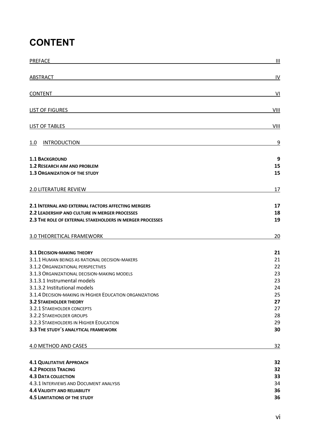# **CONTENT**

| <b>PREFACE</b>                                                                                                                                                                                                                                                                                                                                                                                                                                                                 | $\mathbf{III}$                                                       |
|--------------------------------------------------------------------------------------------------------------------------------------------------------------------------------------------------------------------------------------------------------------------------------------------------------------------------------------------------------------------------------------------------------------------------------------------------------------------------------|----------------------------------------------------------------------|
| <b>ABSTRACT</b>                                                                                                                                                                                                                                                                                                                                                                                                                                                                | IV                                                                   |
| <b>CONTENT</b>                                                                                                                                                                                                                                                                                                                                                                                                                                                                 | VI                                                                   |
| <b>LIST OF FIGURES</b>                                                                                                                                                                                                                                                                                                                                                                                                                                                         | VIII                                                                 |
| <b>LIST OF TABLES</b>                                                                                                                                                                                                                                                                                                                                                                                                                                                          | VIII                                                                 |
| <b>INTRODUCTION</b><br>1.0                                                                                                                                                                                                                                                                                                                                                                                                                                                     | 9                                                                    |
| <b>1.1 BACKGROUND</b><br><b>1.2 RESEARCH AIM AND PROBLEM</b><br><b>1.3 ORGANIZATION OF THE STUDY</b>                                                                                                                                                                                                                                                                                                                                                                           | 9<br>15<br>15                                                        |
| 2.0 LITERATURE REVIEW                                                                                                                                                                                                                                                                                                                                                                                                                                                          | 17                                                                   |
| 2.1 INTERNAL AND EXTERNAL FACTORS AFFECTING MERGERS<br>2.2 LEADERSHIP AND CULTURE IN MERGER PROCESSES<br>2.3 THE ROLE OF EXTERNAL STAKEHOLDERS IN MERGER PROCESSES                                                                                                                                                                                                                                                                                                             | 17<br>18<br>19                                                       |
| 3.0 THEORETICAL FRAMEWORK                                                                                                                                                                                                                                                                                                                                                                                                                                                      | 20                                                                   |
| <b>3.1 DECISION-MAKING THEORY</b><br>3.1.1 HUMAN BEINGS AS RATIONAL DECISION-MAKERS<br>3.1.2 ORGANIZATIONAL PERSPECTIVES<br>3.1.3 ORGANIZATIONAL DECISION-MAKING MODELS<br>3.1.3.1 Instrumental models<br>3.1.3.2 Institutional models<br>3.1.4 DECISION-MAKING IN HIGHER EDUCATION ORGANIZATIONS<br><b>3.2 STAKEHOLDER THEORY</b><br>3.2.1 STAKEHOLDER CONCEPTS<br>3.2.2 STAKEHOLDER GROUPS<br>3.2.3 STAKEHOLDERS IN HIGHER EDUCATION<br>3.3 THE STUDY'S ANALYTICAL FRAMEWORK | 21<br>21<br>22<br>23<br>23<br>24<br>25<br>27<br>27<br>28<br>29<br>30 |
| 4.0 METHOD AND CASES                                                                                                                                                                                                                                                                                                                                                                                                                                                           | <u>32</u>                                                            |
| <b>4.1 QUALITATIVE APPROACH</b><br><b>4.2 PROCESS TRACING</b><br><b>4.3 DATA COLLECTION</b><br>4.3.1 INTERVIEWS AND DOCUMENT ANALYSIS<br><b>4.4 VALIDITY AND RELIABILITY</b><br><b>4.5 LIMITATIONS OF THE STUDY</b>                                                                                                                                                                                                                                                            | 32<br>32<br>33<br>34<br>36<br>36                                     |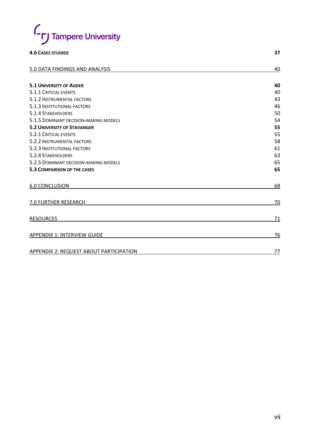

#### **4.6 CASES STUDIED 37**

| 5.0 DATA FINDINGS AND ANALYSIS          | 40 |
|-----------------------------------------|----|
|                                         |    |
| <b>5.1 UNIVERSITY OF AGDER</b>          | 40 |
| 5.1.1 CRITICAL EVENTS                   | 40 |
| 5.1.2 INSTRUMENTAL FACTORS              | 43 |
| 5.1.3 INSTITUTIONAL FACTORS             | 46 |
| 5.1.4 STAKEHOLDERS                      | 50 |
| 5.1.5 DOMINANT DECISION-MAKING MODELS   | 54 |
| <b>5.2 UNIVERSITY OF STAVANGER</b>      | 55 |
| 5.2.1 CRITICAL EVENTS                   | 55 |
| 5.2.2 INSTRUMENTAL FACTORS              | 58 |
| 5.2.3 INSTITUTIONAL FACTORS             | 61 |
| 5.2.4 STAKEHOLDERS                      | 63 |
| 5.2.5 DOMINANT DECISION-MAKING MODELS   | 65 |
| <b>5.3 COMPARISON OF THE CASES</b>      | 65 |
| <b>6.0 CONCLUSION</b>                   | 68 |
| 7.0 FURTHER RESEARCH                    | 70 |
| <b>RESOURCES</b>                        | 71 |
| <b>APPENDIX 1: INTERVIEW GUIDE</b>      | 76 |
| APPENDIX 2: REQUEST ABOUT PARTICIPATION | 77 |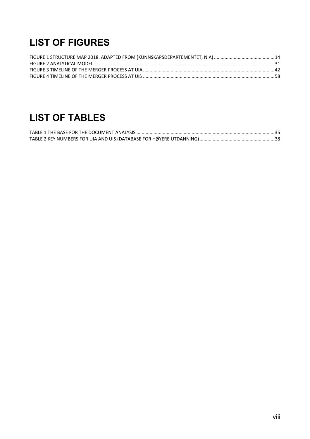# **LIST OF FIGURES**

# **LIST OF TABLES**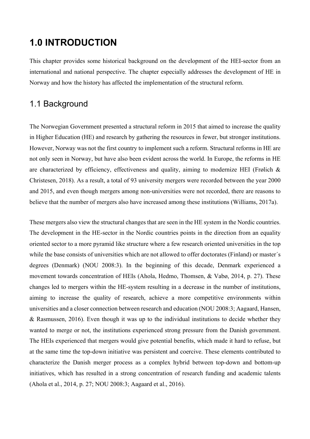# **1.0 INTRODUCTION**

This chapter provides some historical background on the development of the HEI-sector from an international and national perspective. The chapter especially addresses the development of HE in Norway and how the history has affected the implementation of the structural reform.

## 1.1 Background

The Norwegian Government presented a structural reform in 2015 that aimed to increase the quality in Higher Education (HE) and research by gathering the resources in fewer, but stronger institutions. However, Norway was not the first country to implement such a reform. Structural reforms in HE are not only seen in Norway, but have also been evident across the world. In Europe, the reforms in HE are characterized by efficiency, effectiveness and quality, aiming to modernize HEI (Frølich  $\&$ Christesen, 2018). As a result, a total of 93 university mergers were recorded between the year 2000 and 2015, and even though mergers among non-universities were not recorded, there are reasons to believe that the number of mergers also have increased among these institutions (Williams, 2017a).

These mergers also view the structural changes that are seen in the HE system in the Nordic countries. The development in the HE-sector in the Nordic countries points in the direction from an equality oriented sector to a more pyramid like structure where a few research oriented universities in the top while the base consists of universities which are not allowed to offer doctorates (Finland) or master's degrees (Denmark) (NOU 2008:3). In the beginning of this decade, Denmark experienced a movement towards concentration of HEIs (Ahola, Hedmo, Thomsen, & Vabø, 2014, p. 27). These changes led to mergers within the HE-system resulting in a decrease in the number of institutions, aiming to increase the quality of research, achieve a more competitive environments within universities and a closer connection between research and education (NOU 2008:3; Aagaard, Hansen, & Rasmussen, 2016). Even though it was up to the individual institutions to decide whether they wanted to merge or not, the institutions experienced strong pressure from the Danish government. The HEIs experienced that mergers would give potential benefits, which made it hard to refuse, but at the same time the top-down initiative was persistent and coercive. These elements contributed to characterize the Danish merger process as a complex hybrid between top-down and bottom-up initiatives, which has resulted in a strong concentration of research funding and academic talents (Ahola et al., 2014, p. 27; NOU 2008:3; Aagaard et al., 2016).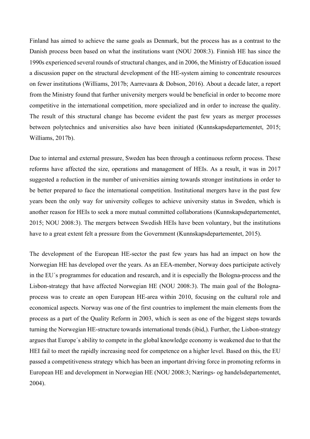Finland has aimed to achieve the same goals as Denmark, but the process has as a contrast to the Danish process been based on what the institutions want (NOU 2008:3). Finnish HE has since the 1990s experienced several rounds of structural changes, and in 2006, the Ministry of Education issued a discussion paper on the structural development of the HE-system aiming to concentrate resources on fewer institutions (Williams, 2017b; Aarrevaara & Dobson, 2016). About a decade later, a report from the Ministry found that further university mergers would be beneficial in order to become more competitive in the international competition, more specialized and in order to increase the quality. The result of this structural change has become evident the past few years as merger processes between polytechnics and universities also have been initiated (Kunnskapsdepartementet, 2015; Williams, 2017b).

Due to internal and external pressure, Sweden has been through a continuous reform process. These reforms have affected the size, operations and management of HEIs. As a result, it was in 2017 suggested a reduction in the number of universities aiming towards stronger institutions in order to be better prepared to face the international competition. Institutional mergers have in the past few years been the only way for university colleges to achieve university status in Sweden, which is another reason for HEIs to seek a more mutual committed collaborations (Kunnskapsdepartementet, 2015; NOU 2008:3). The mergers between Swedish HEIs have been voluntary, but the institutions have to a great extent felt a pressure from the Government (Kunnskapsdepartementet, 2015).

The development of the European HE-sector the past few years has had an impact on how the Norwegian HE has developed over the years. As an EEA-member, Norway does participate actively in the EU´s programmes for education and research, and it is especially the Bologna-process and the Lisbon-strategy that have affected Norwegian HE (NOU 2008:3). The main goal of the Bolognaprocess was to create an open European HE-area within 2010, focusing on the cultural role and economical aspects. Norway was one of the first countries to implement the main elements from the process as a part of the Quality Reform in 2003, which is seen as one of the biggest steps towards turning the Norwegian HE-structure towards international trends (ibid,). Further, the Lisbon-strategy argues that Europe´s ability to compete in the global knowledge economy is weakened due to that the HEI fail to meet the rapidly increasing need for competence on a higher level. Based on this, the EU passed a competitiveness strategy which has been an important driving force in promoting reforms in European HE and development in Norwegian HE (NOU 2008:3; Nærings- og handelsdepartementet, 2004).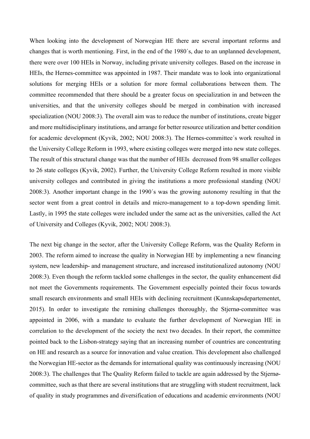When looking into the development of Norwegian HE there are several important reforms and changes that is worth mentioning. First, in the end of the 1980´s, due to an unplanned development, there were over 100 HEIs in Norway, including private university colleges. Based on the increase in HEIs, the Hernes-committee was appointed in 1987. Their mandate was to look into organizational solutions for merging HEIs or a solution for more formal collaborations between them. The committee recommended that there should be a greater focus on specialization in and between the universities, and that the university colleges should be merged in combination with increased specialization (NOU 2008:3). The overall aim was to reduce the number of institutions, create bigger and more multidisciplinary institutions, and arrange for better resource utilization and better condition for academic development (Kyvik, 2002; NOU 2008:3). The Hernes-committee´s work resulted in the University College Reform in 1993, where existing colleges were merged into new state colleges. The result of this structural change was that the number of HEIs decreased from 98 smaller colleges to 26 state colleges (Kyvik, 2002). Further, the University College Reform resulted in more visible university colleges and contributed in giving the institutions a more professional standing (NOU 2008:3). Another important change in the 1990´s was the growing autonomy resulting in that the sector went from a great control in details and micro-management to a top-down spending limit. Lastly, in 1995 the state colleges were included under the same act as the universities, called the Act of University and Colleges (Kyvik, 2002; NOU 2008:3).

The next big change in the sector, after the University College Reform, was the Quality Reform in 2003. The reform aimed to increase the quality in Norwegian HE by implementing a new financing system, new leadership- and management structure, and increased institutionalized autonomy (NOU 2008:3). Even though the reform tackled some challenges in the sector, the quality enhancement did not meet the Governments requirements. The Government especially pointed their focus towards small research environments and small HEIs with declining recruitment (Kunnskapsdepartementet, 2015). In order to investigate the remining challenges thoroughly, the Stjernø-committee was appointed in 2006, with a mandate to evaluate the further development of Norwegian HE in correlation to the development of the society the next two decades. In their report, the committee pointed back to the Lisbon-strategy saying that an increasing number of countries are concentrating on HE and research as a source for innovation and value creation. This development also challenged the Norwegian HE-sector as the demands for international quality was continuously increasing (NOU 2008:3). The challenges that The Quality Reform failed to tackle are again addressed by the Stjernøcommittee, such as that there are several institutions that are struggling with student recruitment, lack of quality in study programmes and diversification of educations and academic environments (NOU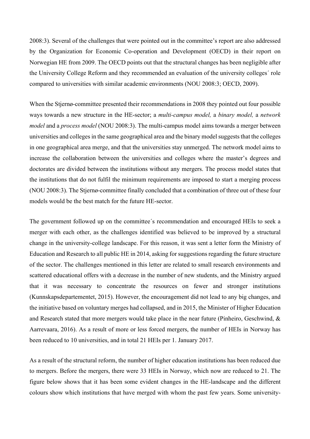2008:3). Several of the challenges that were pointed out in the committee's report are also addressed by the Organization for Economic Co-operation and Development (OECD) in their report on Norwegian HE from 2009. The OECD points out that the structural changes has been negligible after the University College Reform and they recommended an evaluation of the university colleges´ role compared to universities with similar academic environments (NOU 2008:3; OECD, 2009).

When the Stjernø-committee presented their recommendations in 2008 they pointed out four possible ways towards a new structure in the HE-sector; a *multi-campus model,* a *binary model,* a *network model* and a *process model* (NOU 2008:3). The multi-campus model aims towards a merger between universities and colleges in the same geographical area and the binary model suggests that the colleges in one geographical area merge, and that the universities stay unmerged. The network model aims to increase the collaboration between the universities and colleges where the master's degrees and doctorates are divided between the institutions without any mergers. The process model states that the institutions that do not fulfil the minimum requirements are imposed to start a merging process (NOU 2008:3). The Stjernø-committee finally concluded that a combination of three out of these four models would be the best match for the future HE-sector.

The government followed up on the committee´s recommendation and encouraged HEIs to seek a merger with each other, as the challenges identified was believed to be improved by a structural change in the university-college landscape. For this reason, it was sent a letter form the Ministry of Education and Research to all public HE in 2014, asking for suggestions regarding the future structure of the sector. The challenges mentioned in this letter are related to small research environments and scattered educational offers with a decrease in the number of new students, and the Ministry argued that it was necessary to concentrate the resources on fewer and stronger institutions (Kunnskapsdepartementet, 2015). However, the encouragement did not lead to any big changes, and the initiative based on voluntary merges had collapsed, and in 2015, the Minister of Higher Education and Research stated that more mergers would take place in the near future (Pinheiro, Geschwind, & Aarrevaara, 2016). As a result of more or less forced mergers, the number of HEIs in Norway has been reduced to 10 universities, and in total 21 HEIs per 1. January 2017.

As a result of the structural reform, the number of higher education institutions has been reduced due to mergers. Before the mergers, there were 33 HEIs in Norway, which now are reduced to 21. The figure below shows that it has been some evident changes in the HE-landscape and the different colours show which institutions that have merged with whom the past few years. Some university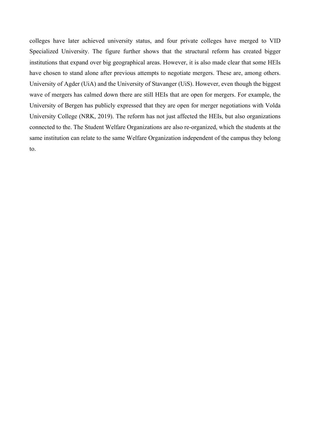colleges have later achieved university status, and four private colleges have merged to VID Specialized University. The figure further shows that the structural reform has created bigger institutions that expand over big geographical areas. However, it is also made clear that some HEIs have chosen to stand alone after previous attempts to negotiate mergers. These are, among others. University of Agder (UiA) and the University of Stavanger (UiS). However, even though the biggest wave of mergers has calmed down there are still HEIs that are open for mergers. For example, the University of Bergen has publicly expressed that they are open for merger negotiations with Volda University College (NRK, 2019). The reform has not just affected the HEIs, but also organizations connected to the. The Student Welfare Organizations are also re-organized, which the students at the same institution can relate to the same Welfare Organization independent of the campus they belong to.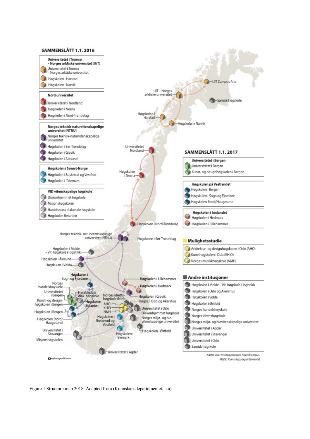

Figure 1 Structure map 2018. Adapted from (Kunnskapsdepartementet, n.a)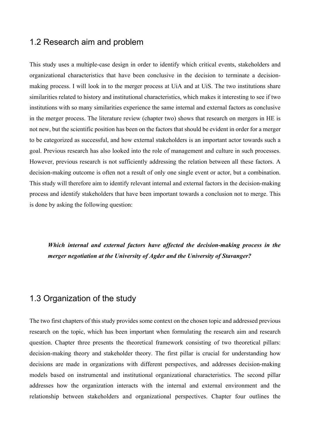## 1.2 Research aim and problem

This study uses a multiple-case design in order to identify which critical events, stakeholders and organizational characteristics that have been conclusive in the decision to terminate a decisionmaking process. I will look in to the merger process at UiA and at UiS. The two institutions share similarities related to history and institutional characteristics, which makes it interesting to see if two institutions with so many similarities experience the same internal and external factors as conclusive in the merger process. The literature review (chapter two) shows that research on mergers in HE is not new, but the scientific position has been on the factors that should be evident in order for a merger to be categorized as successful, and how external stakeholders is an important actor towards such a goal. Previous research has also looked into the role of management and culture in such processes. However, previous research is not sufficiently addressing the relation between all these factors. A decision-making outcome is often not a result of only one single event or actor, but a combination. This study will therefore aim to identify relevant internal and external factors in the decision-making process and identify stakeholders that have been important towards a conclusion not to merge. This is done by asking the following question:

*Which internal and external factors have affected the decision-making process in the merger negotiation at the University of Agder and the University of Stavanger?*

## 1.3 Organization of the study

The two first chapters of this study provides some context on the chosen topic and addressed previous research on the topic, which has been important when formulating the research aim and research question. Chapter three presents the theoretical framework consisting of two theoretical pillars: decision-making theory and stakeholder theory. The first pillar is crucial for understanding how decisions are made in organizations with different perspectives, and addresses decision-making models based on instrumental and institutional organizational characteristics. The second pillar addresses how the organization interacts with the internal and external environment and the relationship between stakeholders and organizational perspectives. Chapter four outlines the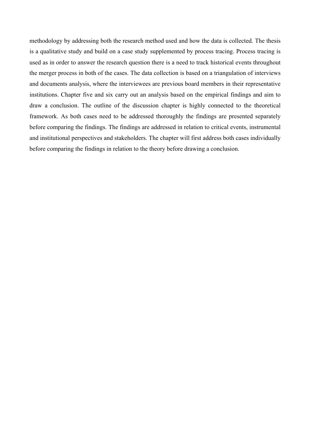methodology by addressing both the research method used and how the data is collected. The thesis is a qualitative study and build on a case study supplemented by process tracing. Process tracing is used as in order to answer the research question there is a need to track historical events throughout the merger process in both of the cases. The data collection is based on a triangulation of interviews and documents analysis, where the interviewees are previous board members in their representative institutions. Chapter five and six carry out an analysis based on the empirical findings and aim to draw a conclusion. The outline of the discussion chapter is highly connected to the theoretical framework. As both cases need to be addressed thoroughly the findings are presented separately before comparing the findings. The findings are addressed in relation to critical events, instrumental and institutional perspectives and stakeholders. The chapter will first address both cases individually before comparing the findings in relation to the theory before drawing a conclusion.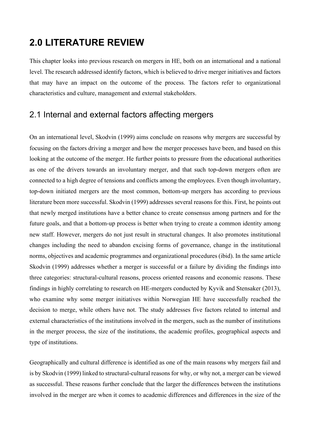# **2.0 LITERATURE REVIEW**

This chapter looks into previous research on mergers in HE, both on an international and a national level. The research addressed identify factors, which is believed to drive merger initiatives and factors that may have an impact on the outcome of the process. The factors refer to organizational characteristics and culture, management and external stakeholders.

## 2.1 Internal and external factors affecting mergers

On an international level, Skodvin (1999) aims conclude on reasons why mergers are successful by focusing on the factors driving a merger and how the merger processes have been, and based on this looking at the outcome of the merger. He further points to pressure from the educational authorities as one of the drivers towards an involuntary merger, and that such top-down mergers often are connected to a high degree of tensions and conflicts among the employees. Even though involuntary, top-down initiated mergers are the most common, bottom-up mergers has according to previous literature been more successful. Skodvin (1999) addresses several reasons for this. First, he points out that newly merged institutions have a better chance to create consensus among partners and for the future goals, and that a bottom-up process is better when trying to create a common identity among new staff. However, mergers do not just result in structural changes. It also promotes institutional changes including the need to abandon excising forms of governance, change in the institutional norms, objectives and academic programmes and organizational procedures (ibid). In the same article Skodvin (1999) addresses whether a merger is successful or a failure by dividing the findings into three categories: structural-cultural reasons, process oriented reasons and economic reasons. These findings in highly correlating to research on HE-mergers conducted by Kyvik and Stensaker (2013), who examine why some merger initiatives within Norwegian HE have successfully reached the decision to merge, while others have not. The study addresses five factors related to internal and external characteristics of the institutions involved in the mergers, such as the number of institutions in the merger process, the size of the institutions, the academic profiles, geographical aspects and type of institutions.

Geographically and cultural difference is identified as one of the main reasons why mergers fail and is by Skodvin (1999) linked to structural-cultural reasons for why, or why not, a merger can be viewed as successful. These reasons further conclude that the larger the differences between the institutions involved in the merger are when it comes to academic differences and differences in the size of the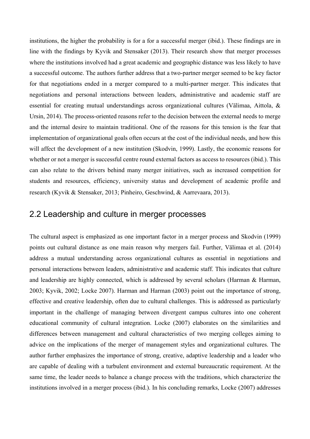institutions, the higher the probability is for a for a successful merger (ibid.). These findings are in line with the findings by Kyvik and Stensaker (2013). Their research show that merger processes where the institutions involved had a great academic and geographic distance was less likely to have a successful outcome. The authors further address that a two-partner merger seemed to be key factor for that negotiations ended in a merger compared to a multi-partner merger. This indicates that negotiations and personal interactions between leaders, administrative and academic staff are essential for creating mutual understandings across organizational cultures (Välimaa, Aittola, & Ursin, 2014). The process-oriented reasons refer to the decision between the external needs to merge and the internal desire to maintain traditional. One of the reasons for this tension is the fear that implementation of organizational goals often occurs at the cost of the individual needs, and how this will affect the development of a new institution (Skodvin, 1999). Lastly, the economic reasons for whether or not a merger is successful centre round external factors as access to resources (ibid.). This can also relate to the drivers behind many merger initiatives, such as increased competition for students and resources, efficiency, university status and development of academic profile and research (Kyvik & Stensaker, 2013; Pinheiro, Geschwind, & Aarrevaara, 2013).

## 2.2 Leadership and culture in merger processes

The cultural aspect is emphasized as one important factor in a merger process and Skodvin (1999) points out cultural distance as one main reason why mergers fail. Further, Välimaa et al. (2014) address a mutual understanding across organizational cultures as essential in negotiations and personal interactions between leaders, administrative and academic staff. This indicates that culture and leadership are highly connected, which is addressed by several scholars (Harman & Harman, 2003; Kyvik, 2002; Locke 2007). Harman and Harman (2003) point out the importance of strong, effective and creative leadership, often due to cultural challenges. This is addressed as particularly important in the challenge of managing between divergent campus cultures into one coherent educational community of cultural integration. Locke (2007) elaborates on the similarities and differences between management and cultural characteristics of two merging colleges aiming to advice on the implications of the merger of management styles and organizational cultures. The author further emphasizes the importance of strong, creative, adaptive leadership and a leader who are capable of dealing with a turbulent environment and external bureaucratic requirement. At the same time, the leader needs to balance a change process with the traditions, which characterize the institutions involved in a merger process (ibid.). In his concluding remarks, Locke (2007) addresses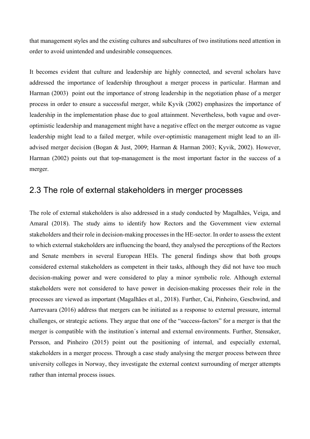that management styles and the existing cultures and subcultures of two institutions need attention in order to avoid unintended and undesirable consequences.

It becomes evident that culture and leadership are highly connected, and several scholars have addressed the importance of leadership throughout a merger process in particular. Harman and Harman (2003) point out the importance of strong leadership in the negotiation phase of a merger process in order to ensure a successful merger, while Kyvik (2002) emphasizes the importance of leadership in the implementation phase due to goal attainment. Nevertheless, both vague and overoptimistic leadership and management might have a negative effect on the merger outcome as vague leadership might lead to a failed merger, while over-optimistic management might lead to an illadvised merger decision (Bogan & Just, 2009; Harman & Harman 2003; Kyvik, 2002). However, Harman (2002) points out that top-management is the most important factor in the success of a merger.

## 2.3 The role of external stakeholders in merger processes

The role of external stakeholders is also addressed in a study conducted by Magalhães, Veiga, and Amaral (2018). The study aims to identify how Rectors and the Government view external stakeholders and their role in decision-making processes in the HE-sector. In order to assess the extent to which external stakeholders are influencing the board, they analysed the perceptions of the Rectors and Senate members in several European HEIs. The general findings show that both groups considered external stakeholders as competent in their tasks, although they did not have too much decision-making power and were considered to play a minor symbolic role. Although external stakeholders were not considered to have power in decision-making processes their role in the processes are viewed as important (Magalhães et al., 2018). Further, Cai, Pinheiro, Geschwind, and Aarrevaara (2016) address that mergers can be initiated as a response to external pressure, internal challenges, or strategic actions. They argue that one of the "success-factors" for a merger is that the merger is compatible with the institution´s internal and external environments. Further, Stensaker, Persson, and Pinheiro (2015) point out the positioning of internal, and especially external, stakeholders in a merger process. Through a case study analysing the merger process between three university colleges in Norway, they investigate the external context surrounding of merger attempts rather than internal process issues.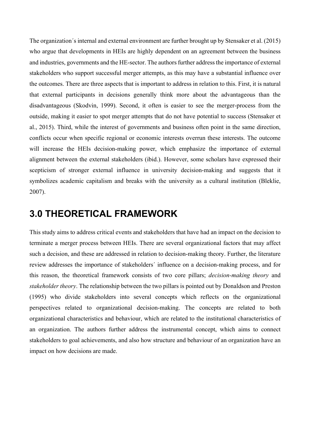The organization´s internal and external environment are further brought up by Stensaker et al. (2015) who argue that developments in HEIs are highly dependent on an agreement between the business and industries, governments and the HE-sector. The authors further address the importance of external stakeholders who support successful merger attempts, as this may have a substantial influence over the outcomes. There are three aspects that is important to address in relation to this. First, it is natural that external participants in decisions generally think more about the advantageous than the disadvantageous (Skodvin, 1999). Second, it often is easier to see the merger-process from the outside, making it easier to spot merger attempts that do not have potential to success (Stensaker et al., 2015). Third, while the interest of governments and business often point in the same direction, conflicts occur when specific regional or economic interests overrun these interests. The outcome will increase the HEIs decision-making power, which emphasize the importance of external alignment between the external stakeholders (ibid.). However, some scholars have expressed their scepticism of stronger external influence in university decision-making and suggests that it symbolizes academic capitalism and breaks with the university as a cultural institution (Bleklie, 2007).

## **3.0 THEORETICAL FRAMEWORK**

This study aims to address critical events and stakeholders that have had an impact on the decision to terminate a merger process between HEIs. There are several organizational factors that may affect such a decision, and these are addressed in relation to decision-making theory. Further, the literature review addresses the importance of stakeholders´ influence on a decision-making process, and for this reason, the theoretical framework consists of two core pillars; *decision-making theory* and *stakeholder theory*. The relationship between the two pillars is pointed out by Donaldson and Preston (1995) who divide stakeholders into several concepts which reflects on the organizational perspectives related to organizational decision-making. The concepts are related to both organizational characteristics and behaviour, which are related to the institutional characteristics of an organization. The authors further address the instrumental concept, which aims to connect stakeholders to goal achievements, and also how structure and behaviour of an organization have an impact on how decisions are made.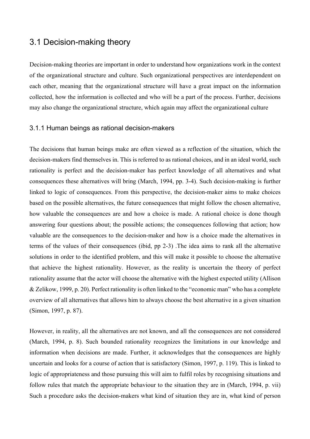## 3.1 Decision-making theory

Decision-making theories are important in order to understand how organizations work in the context of the organizational structure and culture. Such organizational perspectives are interdependent on each other, meaning that the organizational structure will have a great impact on the information collected, how the information is collected and who will be a part of the process. Further, decisions may also change the organizational structure, which again may affect the organizational culture

#### 3.1.1 Human beings as rational decision-makers

The decisions that human beings make are often viewed as a reflection of the situation, which the decision-makers find themselves in. This is referred to as rational choices, and in an ideal world, such rationality is perfect and the decision-maker has perfect knowledge of all alternatives and what consequences these alternatives will bring (March, 1994, pp. 3-4). Such decision-making is further linked to logic of consequences. From this perspective, the decision-maker aims to make choices based on the possible alternatives, the future consequences that might follow the chosen alternative, how valuable the consequences are and how a choice is made. A rational choice is done though answering four questions about; the possible actions; the consequences following that action; how valuable are the consequences to the decision-maker and how is a choice made the alternatives in terms of the values of their consequences (ibid, pp 2-3) .The idea aims to rank all the alternative solutions in order to the identified problem, and this will make it possible to choose the alternative that achieve the highest rationality. However, as the reality is uncertain the theory of perfect rationality assume that the actor will choose the alternative with the highest expected utility (Allison & Zelikow, 1999, p. 20). Perfect rationality is often linked to the "economic man" who has a complete overview of all alternatives that allows him to always choose the best alternative in a given situation (Simon, 1997, p. 87).

However, in reality, all the alternatives are not known, and all the consequences are not considered (March, 1994, p. 8). Such bounded rationality recognizes the limitations in our knowledge and information when decisions are made. Further, it acknowledges that the consequences are highly uncertain and looks for a course of action that is satisfactory (Simon, 1997, p. 119). This is linked to logic of appropriateness and those pursuing this will aim to fulfil roles by recognising situations and follow rules that match the appropriate behaviour to the situation they are in (March, 1994, p. vii) Such a procedure asks the decision-makers what kind of situation they are in, what kind of person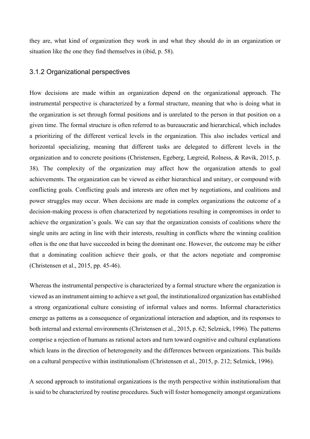they are, what kind of organization they work in and what they should do in an organization or situation like the one they find themselves in (ibid, p. 58).

#### 3.1.2 Organizational perspectives

How decisions are made within an organization depend on the organizational approach. The instrumental perspective is characterized by a formal structure, meaning that who is doing what in the organization is set through formal positions and is unrelated to the person in that position on a given time. The formal structure is often referred to as bureaucratic and hierarchical, which includes a prioritizing of the different vertical levels in the organization. This also includes vertical and horizontal specializing, meaning that different tasks are delegated to different levels in the organization and to concrete positions (Christensen, Egeberg, Lægreid, Rolness, & Røvik, 2015, p. 38). The complexity of the organization may affect how the organization attends to goal achievements. The organization can be viewed as either hierarchical and unitary, or compound with conflicting goals. Conflicting goals and interests are often met by negotiations, and coalitions and power struggles may occur. When decisions are made in complex organizations the outcome of a decision-making process is often characterized by negotiations resulting in compromises in order to achieve the organization's goals. We can say that the organization consists of coalitions where the single units are acting in line with their interests, resulting in conflicts where the winning coalition often is the one that have succeeded in being the dominant one. However, the outcome may be either that a dominating coalition achieve their goals, or that the actors negotiate and compromise (Christensen et al., 2015, pp. 45-46).

Whereas the instrumental perspective is characterized by a formal structure where the organization is viewed as an instrument aiming to achieve a set goal, the institutionalized organization has established a strong organizational culture consisting of informal values and norms. Informal characteristics emerge as patterns as a consequence of organizational interaction and adaption, and its responses to both internal and external environments (Christensen et al., 2015, p. 62; Selznick, 1996). The patterns comprise a rejection of humans as rational actors and turn toward cognitive and cultural explanations which leans in the direction of heterogeneity and the differences between organizations. This builds on a cultural perspective within institutionalism (Christensen et al., 2015, p. 212; Selznick, 1996).

A second approach to institutional organizations is the myth perspective within institutionalism that is said to be characterized by routine procedures. Such will foster homogeneity amongst organizations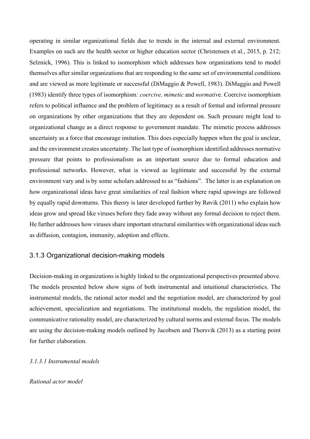operating in similar organizational fields due to trends in the internal and external environment. Examples on such are the health sector or higher education sector (Christensen et al., 2015, p. 212; Selznick, 1996). This is linked to isomorphism which addresses how organizations tend to model themselves after similar organizations that are responding to the same set of environmental conditions and are viewed as more legitimate or successful (DiMaggio & Powell, 1983). DiMaggio and Powell (1983) identify three types of isomorphism*: coercive, mimetic* and *normativ*e. Coercive isomorphism refers to political influence and the problem of legitimacy as a result of formal and informal pressure on organizations by other organizations that they are dependent on. Such pressure might lead to organizational change as a direct response to government mandate. The mimetic process addresses uncertainty as a force that encourage imitation. This does especially happen when the goal is unclear, and the environment creates uncertainty. The last type of isomorphism identified addresses normative pressure that points to professionalism as an important source due to formal education and professional networks. However, what is viewed as legitimate and successful by the external environment vary and is by some scholars addressed to as "fashions". The latter is an explanation on how organizational ideas have great similarities of real fashion where rapid upswings are followed by equally rapid downturns. This theory is later developed further by Røvik (2011) who explain how ideas grow and spread like viruses before they fade away without any formal decision to reject them. He further addresses how viruses share important structural similarities with organizational ideas such as diffusion, contagion, immunity, adoption and effects.

#### 3.1.3 Organizational decision-making models

Decision-making in organizations is highly linked to the organizational perspectives presented above. The models presented below show signs of both instrumental and intuitional characteristics. The instrumental models, the rational actor model and the negotiation model, are characterized by goal achievement, specialization and negotiations. The institutional models, the regulation model, the communicative rationality model, are characterized by cultural norms and external focus. The models are using the decision-making models outlined by Jacobsen and Thorsvik (2013) as a starting point for further elaboration.

#### *3.1.3.1 Instrumental models*

#### *Rational actor model*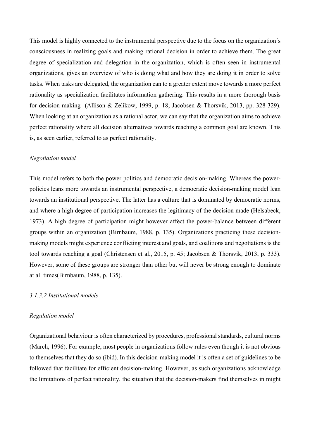This model is highly connected to the instrumental perspective due to the focus on the organization´s consciousness in realizing goals and making rational decision in order to achieve them. The great degree of specialization and delegation in the organization, which is often seen in instrumental organizations, gives an overview of who is doing what and how they are doing it in order to solve tasks. When tasks are delegated, the organization can to a greater extent move towards a more perfect rationality as specialization facilitates information gathering. This results in a more thorough basis for decision-making (Allison & Zelikow, 1999, p. 18; Jacobsen & Thorsvik, 2013, pp. 328-329). When looking at an organization as a rational actor, we can say that the organization aims to achieve perfect rationality where all decision alternatives towards reaching a common goal are known. This is, as seen earlier, referred to as perfect rationality.

#### *Negotiation model*

This model refers to both the power politics and democratic decision-making. Whereas the powerpolicies leans more towards an instrumental perspective, a democratic decision-making model lean towards an institutional perspective. The latter has a culture that is dominated by democratic norms, and where a high degree of participation increases the legitimacy of the decision made (Helsabeck, 1973). A high degree of participation might however affect the power-balance between different groups within an organization (Birnbaum, 1988, p. 135). Organizations practicing these decisionmaking models might experience conflicting interest and goals, and coalitions and negotiations is the tool towards reaching a goal (Christensen et al., 2015, p. 45; Jacobsen & Thorsvik, 2013, p. 333). However, some of these groups are stronger than other but will never be strong enough to dominate at all times(Birnbaum, 1988, p. 135).

#### *3.1.3.2 Institutional models*

#### *Regulation model*

Organizational behaviour is often characterized by procedures, professional standards, cultural norms (March, 1996). For example, most people in organizations follow rules even though it is not obvious to themselves that they do so (ibid). In this decision-making model it is often a set of guidelines to be followed that facilitate for efficient decision-making. However, as such organizations acknowledge the limitations of perfect rationality, the situation that the decision-makers find themselves in might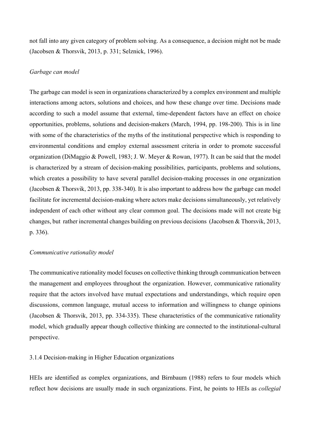not fall into any given category of problem solving. As a consequence, a decision might not be made (Jacobsen & Thorsvik, 2013, p. 331; Selznick, 1996).

#### *Garbage can model*

The garbage can model is seen in organizations characterized by a complex environment and multiple interactions among actors, solutions and choices, and how these change over time. Decisions made according to such a model assume that external, time-dependent factors have an effect on choice opportunities, problems, solutions and decision-makers (March, 1994, pp. 198-200). This is in line with some of the characteristics of the myths of the institutional perspective which is responding to environmental conditions and employ external assessment criteria in order to promote successful organization (DiMaggio & Powell, 1983; J. W. Meyer & Rowan, 1977). It can be said that the model is characterized by a stream of decision-making possibilities, participants, problems and solutions, which creates a possibility to have several parallel decision-making processes in one organization (Jacobsen & Thorsvik, 2013, pp. 338-340). It is also important to address how the garbage can model facilitate for incremental decision-making where actors make decisions simultaneously, yet relatively independent of each other without any clear common goal. The decisions made will not create big changes, but rather incremental changes building on previous decisions (Jacobsen & Thorsvik, 2013, p. 336).

#### *Communicative rationality model*

The communicative rationality model focuses on collective thinking through communication between the management and employees throughout the organization. However, communicative rationality require that the actors involved have mutual expectations and understandings, which require open discussions, common language, mutual access to information and willingness to change opinions (Jacobsen & Thorsvik, 2013, pp. 334-335). These characteristics of the communicative rationality model, which gradually appear though collective thinking are connected to the institutional-cultural perspective.

#### 3.1.4 Decision-making in Higher Education organizations

HEIs are identified as complex organizations, and Birnbaum (1988) refers to four models which reflect how decisions are usually made in such organizations. First, he points to HEIs as *collegial*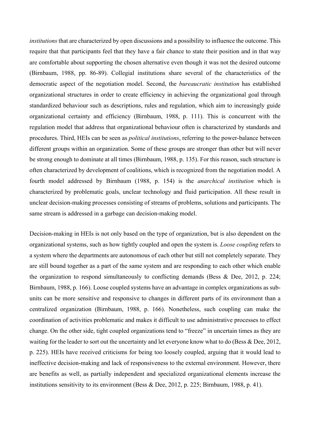*institutions* that are characterized by open discussions and a possibility to influence the outcome. This require that that participants feel that they have a fair chance to state their position and in that way are comfortable about supporting the chosen alternative even though it was not the desired outcome (Birnbaum, 1988, pp. 86-89). Collegial institutions share several of the characteristics of the democratic aspect of the negotiation model. Second, the *bureaucratic institution* has established organizational structures in order to create efficiency in achieving the organizational goal through standardized behaviour such as descriptions, rules and regulation, which aim to increasingly guide organizational certainty and efficiency (Birnbaum, 1988, p. 111). This is concurrent with the regulation model that address that organizational behaviour often is characterized by standards and procedures. Third, HEIs can be seen as *political institutions*, referring to the power-balance between different groups within an organization. Some of these groups are stronger than other but will never be strong enough to dominate at all times (Birnbaum, 1988, p. 135). For this reason, such structure is often characterized by development of coalitions, which is recognized from the negotiation model. A fourth model addressed by Birnbaum (1988, p. 154) is the *anarchical institution* which is characterized by problematic goals, unclear technology and fluid participation. All these result in unclear decision-making processes consisting of streams of problems, solutions and participants. The same stream is addressed in a garbage can decision-making model.

Decision-making in HEIs is not only based on the type of organization, but is also dependent on the organizational systems, such as how tightly coupled and open the system is. *Loose coupling* refers to a system where the departments are autonomous of each other but still not completely separate. They are still bound together as a part of the same system and are responding to each other which enable the organization to respond simultaneously to conflicting demands (Bess & Dee, 2012, p. 224; Birnbaum, 1988, p. 166). Loose coupled systems have an advantage in complex organizations as subunits can be more sensitive and responsive to changes in different parts of its environment than a centralized organization (Birnbaum, 1988, p. 166). Nonetheless, such coupling can make the coordination of activities problematic and makes it difficult to use administrative processes to effect change. On the other side, tight coupled organizations tend to "freeze" in uncertain times as they are waiting for the leader to sort out the uncertainty and let everyone know what to do (Bess & Dee, 2012, p. 225). HEIs have received criticisms for being too loosely coupled, arguing that it would lead to ineffective decision-making and lack of responsiveness to the external environment. However, there are benefits as well, as partially independent and specialized organizational elements increase the institutions sensitivity to its environment (Bess & Dee, 2012, p. 225; Birnbaum, 1988, p. 41).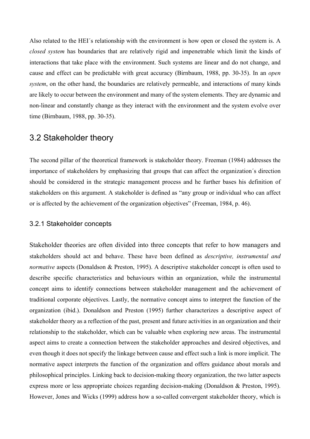Also related to the HEI´s relationship with the environment is how open or closed the system is. A *closed system* has boundaries that are relatively rigid and impenetrable which limit the kinds of interactions that take place with the environment. Such systems are linear and do not change, and cause and effect can be predictable with great accuracy (Birnbaum, 1988, pp. 30-35). In an *open system*, on the other hand, the boundaries are relatively permeable, and interactions of many kinds are likely to occur between the environment and many of the system elements. They are dynamic and non-linear and constantly change as they interact with the environment and the system evolve over time (Birnbaum, 1988, pp. 30-35).

## 3.2 Stakeholder theory

The second pillar of the theoretical framework is stakeholder theory. Freeman (1984) addresses the importance of stakeholders by emphasizing that groups that can affect the organization´s direction should be considered in the strategic management process and he further bases his definition of stakeholders on this argument. A stakeholder is defined as "any group or individual who can affect or is affected by the achievement of the organization objectives" (Freeman, 1984, p. 46).

#### 3.2.1 Stakeholder concepts

Stakeholder theories are often divided into three concepts that refer to how managers and stakeholders should act and behave. These have been defined as *descriptive, instrumental and normative* aspects (Donaldson & Preston, 1995). A descriptive stakeholder concept is often used to describe specific characteristics and behaviours within an organization, while the instrumental concept aims to identify connections between stakeholder management and the achievement of traditional corporate objectives. Lastly, the normative concept aims to interpret the function of the organization (ibid.). Donaldson and Preston (1995) further characterizes a descriptive aspect of stakeholder theory as a reflection of the past, present and future activities in an organization and their relationship to the stakeholder, which can be valuable when exploring new areas. The instrumental aspect aims to create a connection between the stakeholder approaches and desired objectives, and even though it does not specify the linkage between cause and effect such a link is more implicit. The normative aspect interprets the function of the organization and offers guidance about morals and philosophical principles. Linking back to decision-making theory organization, the two latter aspects express more or less appropriate choices regarding decision-making (Donaldson & Preston, 1995). However, Jones and Wicks (1999) address how a so-called convergent stakeholder theory, which is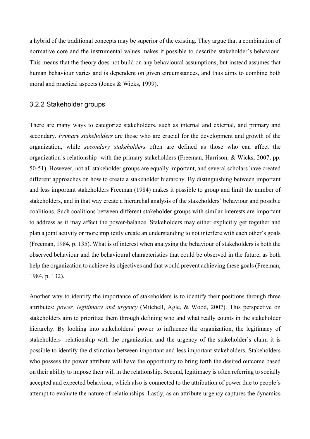a hybrid of the traditional concepts may be superior of the existing. They argue that a combination of normative core and the instrumental values makes it possible to describe stakeholder´s behaviour. This means that the theory does not build on any behavioural assumptions, but instead assumes that human behaviour varies and is dependent on given circumstances, and thus aims to combine both moral and practical aspects (Jones & Wicks, 1999).

#### 3.2.2 Stakeholder groups

There are many ways to categorize stakeholders, such as internal and external, and primary and secondary. *Primary stakeholders* are those who are crucial for the development and growth of the organization, while *secondary stakeholders* often are defined as those who can affect the organization´s relationship with the primary stakeholders (Freeman, Harrison, & Wicks, 2007, pp. 50-51). However, not all stakeholder groups are equally important, and several scholars have created different approaches on how to create a stakeholder hierarchy. By distinguishing between important and less important stakeholders Freeman (1984) makes it possible to group and limit the number of stakeholders, and in that way create a hierarchal analysis of the stakeholders´ behaviour and possible coalitions. Such coalitions between different stakeholder groups with similar interests are important to address as it may affect the power-balance. Stakeholders may either explicitly get together and plan a joint activity or more implicitly create an understanding to not interfere with each other´s goals (Freeman, 1984, p. 135). What is of interest when analysing the behaviour of stakeholders is both the observed behaviour and the behavioural characteristics that could be observed in the future, as both help the organization to achieve its objectives and that would prevent achieving these goals (Freeman, 1984, p. 132).

Another way to identify the importance of stakeholders is to identify their positions through three attributes: *power, legitimacy and urgency* (Mitchell, Agle, & Wood, 2007). This perspective on stakeholders aim to prioritize them through defining who and what really counts in the stakeholder hierarchy. By looking into stakeholders' power to influence the organization, the legitimacy of stakeholders´ relationship with the organization and the urgency of the stakeholder's claim it is possible to identify the distinction between important and less important stakeholders. Stakeholders who possess the power attribute will have the opportunity to bring forth the desired outcome based on their ability to impose their will in the relationship. Second, legitimacy is often referring to socially accepted and expected behaviour, which also is connected to the attribution of power due to people´s attempt to evaluate the nature of relationships. Lastly, as an attribute urgency captures the dynamics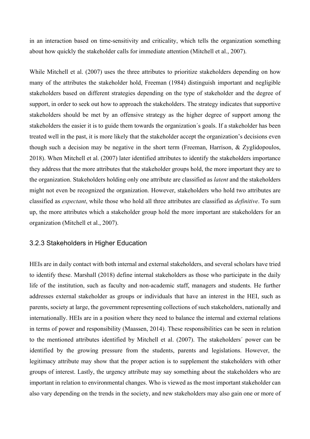in an interaction based on time-sensitivity and criticality, which tells the organization something about how quickly the stakeholder calls for immediate attention (Mitchell et al., 2007).

While Mitchell et al. (2007) uses the three attributes to prioritize stakeholders depending on how many of the attributes the stakeholder hold, Freeman (1984) distinguish important and negligible stakeholders based on different strategies depending on the type of stakeholder and the degree of support, in order to seek out how to approach the stakeholders. The strategy indicates that supportive stakeholders should be met by an offensive strategy as the higher degree of support among the stakeholders the easier it is to guide them towards the organization´s goals. If a stakeholder has been treated well in the past, it is more likely that the stakeholder accept the organization's decisions even though such a decision may be negative in the short term (Freeman, Harrison, & Zyglidopoulos, 2018). When Mitchell et al. (2007) later identified attributes to identify the stakeholders importance they address that the more attributes that the stakeholder groups hold, the more important they are to the organization. Stakeholders holding only one attribute are classified as *latent* and the stakeholders might not even be recognized the organization. However, stakeholders who hold two attributes are classified as *expectant*, while those who hold all three attributes are classified as *definitive*. To sum up, the more attributes which a stakeholder group hold the more important are stakeholders for an organization (Mitchell et al., 2007).

#### 3.2.3 Stakeholders in Higher Education

HEIs are in daily contact with both internal and external stakeholders, and several scholars have tried to identify these. Marshall (2018) define internal stakeholders as those who participate in the daily life of the institution, such as faculty and non-academic staff, managers and students. He further addresses external stakeholder as groups or individuals that have an interest in the HEI, such as parents, society at large, the government representing collections of such stakeholders, nationally and internationally. HEIs are in a position where they need to balance the internal and external relations in terms of power and responsibility (Maassen, 2014). These responsibilities can be seen in relation to the mentioned attributes identified by Mitchell et al. (2007). The stakeholders´ power can be identified by the growing pressure from the students, parents and legislations. However, the legitimacy attribute may show that the proper action is to supplement the stakeholders with other groups of interest. Lastly, the urgency attribute may say something about the stakeholders who are important in relation to environmental changes. Who is viewed as the most important stakeholder can also vary depending on the trends in the society, and new stakeholders may also gain one or more of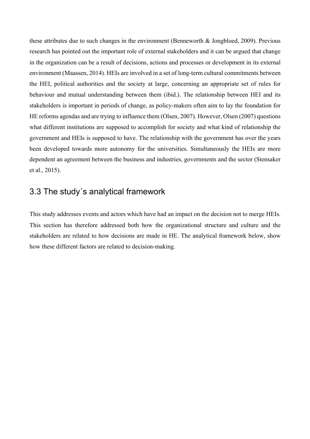these attributes due to such changes in the environment (Benneworth & Jongbloed, 2009). Previous research has pointed out the important role of external stakeholders and it can be argued that change in the organization can be a result of decisions, actions and processes or development in its external environment (Maassen, 2014). HEIs are involved in a set of long-term cultural commitments between the HEI, political authorities and the society at large, concerning an appropriate set of rules for behaviour and mutual understanding between them (ibid.). The relationship between HEI and its stakeholders is important in periods of change, as policy-makers often aim to lay the foundation for HE reforms agendas and are trying to influence them (Olsen, 2007). However, Olsen (2007) questions what different institutions are supposed to accomplish for society and what kind of relationship the government and HEIs is supposed to have. The relationship with the government has over the years been developed towards more autonomy for the universities. Simultaneously the HEIs are more dependent an agreement between the business and industries, governments and the sector (Stensaker et al., 2015).

## 3.3 The study´s analytical framework

This study addresses events and actors which have had an impact on the decision not to merge HEIs. This section has therefore addressed both how the organizational structure and culture and the stakeholders are related to how decisions are made in HE. The analytical framework below, show how these different factors are related to decision-making.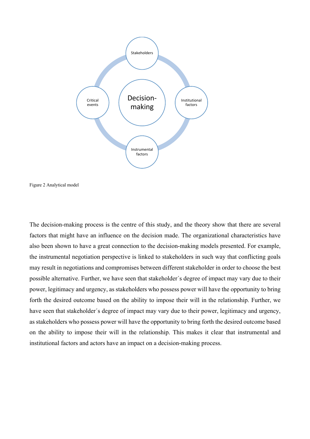



The decision-making process is the centre of this study, and the theory show that there are several factors that might have an influence on the decision made. The organizational characteristics have also been shown to have a great connection to the decision-making models presented. For example, the instrumental negotiation perspective is linked to stakeholders in such way that conflicting goals may result in negotiations and compromises between different stakeholder in order to choose the best possible alternative. Further, we have seen that stakeholder´s degree of impact may vary due to their power, legitimacy and urgency, as stakeholders who possess power will have the opportunity to bring forth the desired outcome based on the ability to impose their will in the relationship. Further, we have seen that stakeholder´s degree of impact may vary due to their power, legitimacy and urgency, as stakeholders who possess power will have the opportunity to bring forth the desired outcome based on the ability to impose their will in the relationship. This makes it clear that instrumental and institutional factors and actors have an impact on a decision-making process.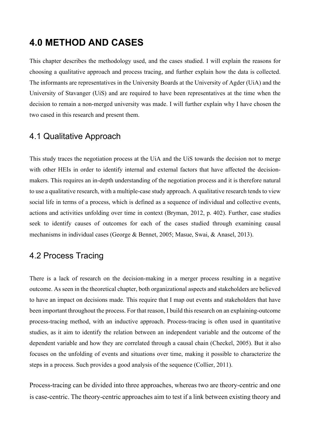# **4.0 METHOD AND CASES**

This chapter describes the methodology used, and the cases studied. I will explain the reasons for choosing a qualitative approach and process tracing, and further explain how the data is collected. The informants are representatives in the University Boards at the University of Agder (UiA) and the University of Stavanger (UiS) and are required to have been representatives at the time when the decision to remain a non-merged university was made. I will further explain why I have chosen the two cased in this research and present them.

## 4.1 Qualitative Approach

This study traces the negotiation process at the UiA and the UiS towards the decision not to merge with other HEIs in order to identify internal and external factors that have affected the decisionmakers. This requires an in-depth understanding of the negotiation process and it is therefore natural to use a qualitative research, with a multiple-case study approach. A qualitative research tends to view social life in terms of a process, which is defined as a sequence of individual and collective events, actions and activities unfolding over time in context (Bryman, 2012, p. 402). Further, case studies seek to identify causes of outcomes for each of the cases studied through examining causal mechanisms in individual cases (George & Bennet, 2005; Masue, Swai, & Anasel, 2013).

## 4.2 Process Tracing

There is a lack of research on the decision-making in a merger process resulting in a negative outcome. As seen in the theoretical chapter, both organizational aspects and stakeholders are believed to have an impact on decisions made. This require that I map out events and stakeholders that have been important throughout the process. For that reason, I build this research on an explaining-outcome process-tracing method, with an inductive approach. Process-tracing is often used in quantitative studies, as it aim to identify the relation between an independent variable and the outcome of the dependent variable and how they are correlated through a causal chain (Checkel, 2005). But it also focuses on the unfolding of events and situations over time, making it possible to characterize the steps in a process. Such provides a good analysis of the sequence (Collier, 2011).

Process-tracing can be divided into three approaches, whereas two are theory-centric and one is case-centric. The theory-centric approaches aim to test if a link between existing theory and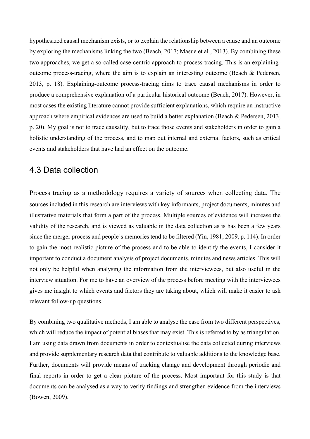hypothesized causal mechanism exists, or to explain the relationship between a cause and an outcome by exploring the mechanisms linking the two (Beach, 2017; Masue et al., 2013). By combining these two approaches, we get a so-called case-centric approach to process-tracing. This is an explainingoutcome process-tracing, where the aim is to explain an interesting outcome (Beach & Pedersen, 2013, p. 18). Explaining-outcome process-tracing aims to trace causal mechanisms in order to produce a comprehensive explanation of a particular historical outcome (Beach, 2017). However, in most cases the existing literature cannot provide sufficient explanations, which require an instructive approach where empirical evidences are used to build a better explanation (Beach & Pedersen, 2013, p. 20). My goal is not to trace causality, but to trace those events and stakeholders in order to gain a holistic understanding of the process, and to map out internal and external factors, such as critical events and stakeholders that have had an effect on the outcome.

## 4.3 Data collection

Process tracing as a methodology requires a variety of sources when collecting data. The sources included in this research are interviews with key informants, project documents, minutes and illustrative materials that form a part of the process. Multiple sources of evidence will increase the validity of the research, and is viewed as valuable in the data collection as is has been a few years since the merger process and people´s memories tend to be filtered (Yin, 1981; 2009, p. 114). In order to gain the most realistic picture of the process and to be able to identify the events, I consider it important to conduct a document analysis of project documents, minutes and news articles. This will not only be helpful when analysing the information from the interviewees, but also useful in the interview situation. For me to have an overview of the process before meeting with the interviewees gives me insight to which events and factors they are taking about, which will make it easier to ask relevant follow-up questions.

By combining two qualitative methods, I am able to analyse the case from two different perspectives, which will reduce the impact of potential biases that may exist. This is referred to by as triangulation. I am using data drawn from documents in order to contextualise the data collected during interviews and provide supplementary research data that contribute to valuable additions to the knowledge base. Further, documents will provide means of tracking change and development through periodic and final reports in order to get a clear picture of the process. Most important for this study is that documents can be analysed as a way to verify findings and strengthen evidence from the interviews (Bowen, 2009).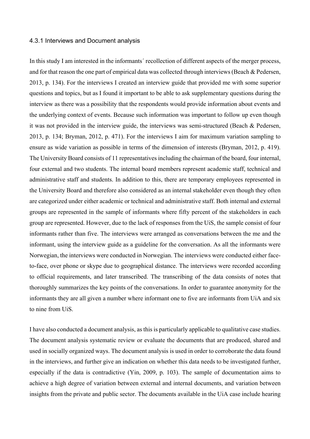#### 4.3.1 Interviews and Document analysis

In this study I am interested in the informants´ recollection of different aspects of the merger process, and for that reason the one part of empirical data was collected through interviews (Beach & Pedersen, 2013, p. 134). For the interviews I created an interview guide that provided me with some superior questions and topics, but as I found it important to be able to ask supplementary questions during the interview as there was a possibility that the respondents would provide information about events and the underlying context of events. Because such information was important to follow up even though it was not provided in the interview guide, the interviews was semi-structured (Beach & Pedersen, 2013, p. 134; Bryman, 2012, p. 471). For the interviews I aim for maximum variation sampling to ensure as wide variation as possible in terms of the dimension of interests (Bryman, 2012, p. 419). The University Board consists of 11 representatives including the chairman of the board, four internal, four external and two students. The internal board members represent academic staff, technical and administrative staff and students. In addition to this, there are temporary employees represented in the University Board and therefore also considered as an internal stakeholder even though they often are categorized under either academic or technical and administrative staff. Both internal and external groups are represented in the sample of informants where fifty percent of the stakeholders in each group are represented. However, due to the lack of responses from the UiS, the sample consist of four informants rather than five. The interviews were arranged as conversations between the me and the informant, using the interview guide as a guideline for the conversation. As all the informants were Norwegian, the interviews were conducted in Norwegian. The interviews were conducted either faceto-face, over phone or skype due to geographical distance. The interviews were recorded according to official requirements, and later transcribed. The transcribing of the data consists of notes that thoroughly summarizes the key points of the conversations. In order to guarantee anonymity for the informants they are all given a number where informant one to five are informants from UiA and six to nine from UiS.

I have also conducted a document analysis, as this is particularly applicable to qualitative case studies. The document analysis systematic review or evaluate the documents that are produced, shared and used in socially organized ways. The document analysis is used in order to corroborate the data found in the interviews, and further give an indication on whether this data needs to be investigated further, especially if the data is contradictive (Yin, 2009, p. 103). The sample of documentation aims to achieve a high degree of variation between external and internal documents, and variation between insights from the private and public sector. The documents available in the UiA case include hearing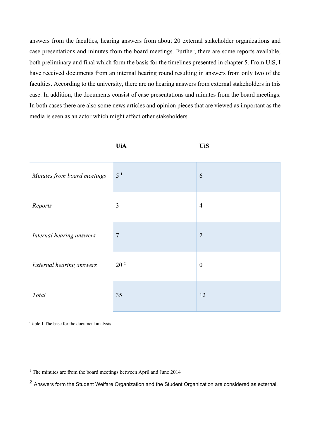answers from the faculties, hearing answers from about 20 external stakeholder organizations and case presentations and minutes from the board meetings. Further, there are some reports available, both preliminary and final which form the basis for the timelines presented in chapter 5. From UiS, I have received documents from an internal hearing round resulting in answers from only two of the faculties. According to the university, there are no hearing answers from external stakeholders in this case. In addition, the documents consist of case presentations and minutes from the board meetings. In both cases there are also some news articles and opinion pieces that are viewed as important as the media is seen as an actor which might affect other stakeholders.

|                             | <b>UiA</b>      | <b>UiS</b>       |
|-----------------------------|-----------------|------------------|
| Minutes from board meetings | 5 <sup>1</sup>  | 6                |
| Reports                     | $\mathfrak{Z}$  | $\overline{4}$   |
| Internal hearing answers    | $\overline{7}$  | $\overline{2}$   |
| External hearing answers    | 20 <sup>2</sup> | $\boldsymbol{0}$ |
| Total                       | 35              | 12               |

Table 1 The base for the document analysis

<sup>1</sup> The minutes are from the board meetings between April and June 2014

<sup>2</sup> Answers form the Student Welfare Organization and the Student Organization are considered as external.

l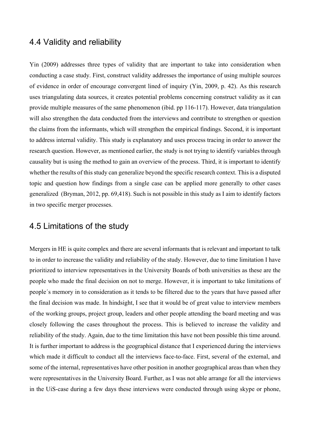## 4.4 Validity and reliability

Yin (2009) addresses three types of validity that are important to take into consideration when conducting a case study. First, construct validity addresses the importance of using multiple sources of evidence in order of encourage convergent lined of inquiry (Yin, 2009, p. 42). As this research uses triangulating data sources, it creates potential problems concerning construct validity as it can provide multiple measures of the same phenomenon (ibid. pp 116-117). However, data triangulation will also strengthen the data conducted from the interviews and contribute to strengthen or question the claims from the informants, which will strengthen the empirical findings. Second, it is important to address internal validity. This study is explanatory and uses process tracing in order to answer the research question. However, as mentioned earlier, the study is not trying to identify variables through causality but is using the method to gain an overview of the process. Third, it is important to identify whether the results of this study can generalize beyond the specific research context. This is a disputed topic and question how findings from a single case can be applied more generally to other cases generalized (Bryman, 2012, pp. 69,418). Such is not possible in this study as I aim to identify factors in two specific merger processes.

## 4.5 Limitations of the study

Mergers in HE is quite complex and there are several informants that is relevant and important to talk to in order to increase the validity and reliability of the study. However, due to time limitation I have prioritized to interview representatives in the University Boards of both universities as these are the people who made the final decision on not to merge. However, it is important to take limitations of people´s memory in to consideration as it tends to be filtered due to the years that have passed after the final decision was made. In hindsight, I see that it would be of great value to interview members of the working groups, project group, leaders and other people attending the board meeting and was closely following the cases throughout the process. This is believed to increase the validity and reliability of the study. Again, due to the time limitation this have not been possible this time around. It is further important to address is the geographical distance that I experienced during the interviews which made it difficult to conduct all the interviews face-to-face. First, several of the external, and some of the internal, representatives have other position in another geographical areas than when they were representatives in the University Board. Further, as I was not able arrange for all the interviews in the UiS-case during a few days these interviews were conducted through using skype or phone,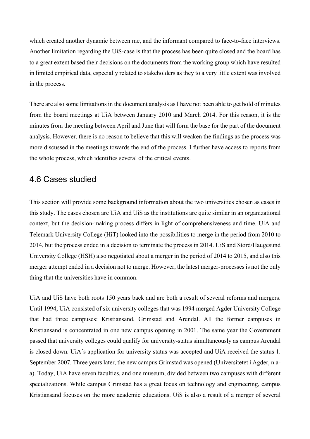which created another dynamic between me, and the informant compared to face-to-face interviews. Another limitation regarding the UiS-case is that the process has been quite closed and the board has to a great extent based their decisions on the documents from the working group which have resulted in limited empirical data, especially related to stakeholders as they to a very little extent was involved in the process.

There are also some limitations in the document analysis as I have not been able to get hold of minutes from the board meetings at UiA between January 2010 and March 2014. For this reason, it is the minutes from the meeting between April and June that will form the base for the part of the document analysis. However, there is no reason to believe that this will weaken the findings as the process was more discussed in the meetings towards the end of the process. I further have access to reports from the whole process, which identifies several of the critical events.

### 4.6 Cases studied

This section will provide some background information about the two universities chosen as cases in this study. The cases chosen are UiA and UiS as the institutions are quite similar in an organizational context, but the decision-making process differs in light of comprehensiveness and time. UiA and Telemark University College (HiT) looked into the possibilities to merge in the period from 2010 to 2014, but the process ended in a decision to terminate the process in 2014. UiS and Stord/Haugesund University College (HSH) also negotiated about a merger in the period of 2014 to 2015, and also this merger attempt ended in a decision not to merge. However, the latest merger-processes is not the only thing that the universities have in common.

UiA and UiS have both roots 150 years back and are both a result of several reforms and mergers. Until 1994, UiA consisted of six university colleges that was 1994 merged Agder University College that had three campuses: Kristiansand, Grimstad and Arendal. All the former campuses in Kristiansand is concentrated in one new campus opening in 2001. The same year the Government passed that university colleges could qualify for university-status simultaneously as campus Arendal is closed down. UiA´s application for university status was accepted and UiA received the status 1. September 2007. Three years later, the new campus Grimstad was opened (Universitetet i Agder, n.aa). Today, UiA have seven faculties, and one museum, divided between two campuses with different specializations. While campus Grimstad has a great focus on technology and engineering, campus Kristiansand focuses on the more academic educations. UiS is also a result of a merger of several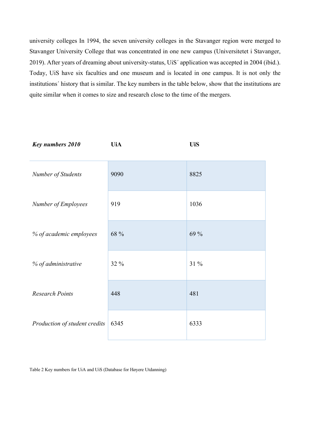university colleges In 1994, the seven university colleges in the Stavanger region were merged to Stavanger University College that was concentrated in one new campus (Universitetet i Stavanger, 2019). After years of dreaming about university-status, UiS´ application was accepted in 2004 (ibid.). Today, UiS have six faculties and one museum and is located in one campus. It is not only the institutions´ history that is similar. The key numbers in the table below, show that the institutions are quite similar when it comes to size and research close to the time of the mergers.

| <b>Key numbers 2010</b>       | <b>UiA</b> | <b>UiS</b> |
|-------------------------------|------------|------------|
| Number of Students            | 9090       | 8825       |
| Number of Employees           | 919        | 1036       |
| % of academic employees       | 68 %       | 69 %       |
| % of administrative           | 32 %       | 31 %       |
| <b>Research Points</b>        | 448        | 481        |
| Production of student credits | 6345       | 6333       |

Table 2 Key numbers for UiA and UiS (Database for Høyere Utdanning)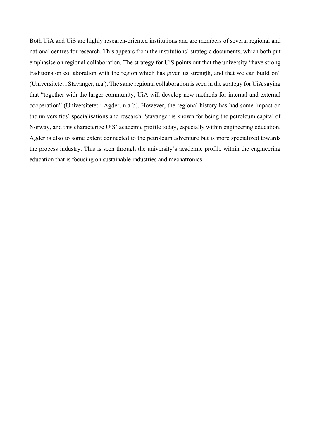Both UiA and UiS are highly research-oriented institutions and are members of several regional and national centres for research. This appears from the institutions´ strategic documents, which both put emphasise on regional collaboration. The strategy for UiS points out that the university "have strong traditions on collaboration with the region which has given us strength, and that we can build on" (Universitetet i Stavanger, n.a ). The same regional collaboration is seen in the strategy for UiA saying that "together with the larger community, UiA will develop new methods for internal and external cooperation" (Universitetet i Agder, n.a-b). However, the regional history has had some impact on the universities´ specialisations and research. Stavanger is known for being the petroleum capital of Norway, and this characterize UiS´ academic profile today, especially within engineering education. Agder is also to some extent connected to the petroleum adventure but is more specialized towards the process industry. This is seen through the university´s academic profile within the engineering education that is focusing on sustainable industries and mechatronics.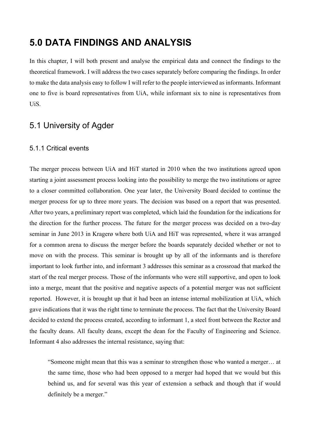# **5.0 DATA FINDINGS AND ANALYSIS**

In this chapter, I will both present and analyse the empirical data and connect the findings to the theoretical framework. I will address the two cases separately before comparing the findings. In order to make the data analysis easy to follow I will refer to the people interviewed as informants. Informant one to five is board representatives from UiA, while informant six to nine is representatives from UiS.

## 5.1 University of Agder

#### 5.1.1 Critical events

The merger process between UiA and HiT started in 2010 when the two institutions agreed upon starting a joint assessment process looking into the possibility to merge the two institutions or agree to a closer committed collaboration. One year later, the University Board decided to continue the merger process for up to three more years. The decision was based on a report that was presented. After two years, a preliminary report was completed, which laid the foundation for the indications for the direction for the further process. The future for the merger process was decided on a two-day seminar in June 2013 in Kragerø where both UiA and HiT was represented, where it was arranged for a common arena to discuss the merger before the boards separately decided whether or not to move on with the process. This seminar is brought up by all of the informants and is therefore important to look further into, and informant 3 addresses this seminar as a crossroad that marked the start of the real merger process. Those of the informants who were still supportive, and open to look into a merge, meant that the positive and negative aspects of a potential merger was not sufficient reported. However, it is brought up that it had been an intense internal mobilization at UiA, which gave indications that it was the right time to terminate the process. The fact that the University Board decided to extend the process created, according to informant 1, a steel front between the Rector and the faculty deans. All faculty deans, except the dean for the Faculty of Engineering and Science. Informant 4 also addresses the internal resistance, saying that:

"Someone might mean that this was a seminar to strengthen those who wanted a merger… at the same time, those who had been opposed to a merger had hoped that we would but this behind us, and for several was this year of extension a setback and though that if would definitely be a merger."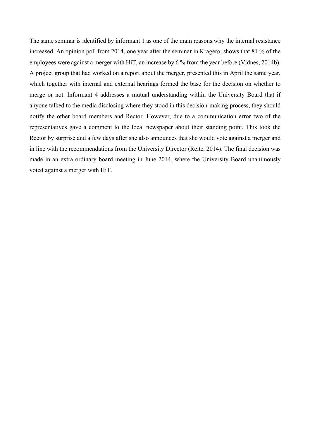The same seminar is identified by informant 1 as one of the main reasons why the internal resistance increased. An opinion poll from 2014, one year after the seminar in Kragerø, shows that 81 % of the employees were against a merger with HiT, an increase by 6 % from the year before (Vidnes, 2014b). A project group that had worked on a report about the merger, presented this in April the same year, which together with internal and external hearings formed the base for the decision on whether to merge or not. Informant 4 addresses a mutual understanding within the University Board that if anyone talked to the media disclosing where they stood in this decision-making process, they should notify the other board members and Rector. However, due to a communication error two of the representatives gave a comment to the local newspaper about their standing point. This took the Rector by surprise and a few days after she also announces that she would vote against a merger and in line with the recommendations from the University Director (Reite, 2014). The final decision was made in an extra ordinary board meeting in June 2014, where the University Board unanimously voted against a merger with HiT.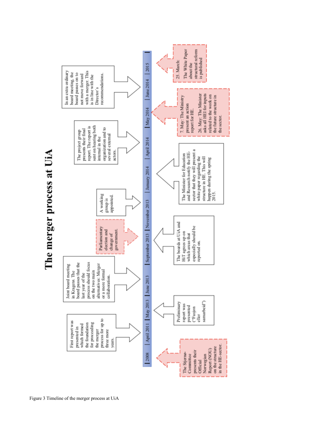

The merger process at UiA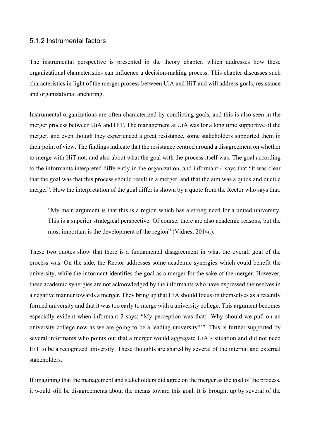#### 5.1.2 Instrumental factors

The instrumental perspective is presented in the theory chapter, which addresses how these organizational characteristics can influence a decision-making process. This chapter discusses such characteristics in light of the merger process between UiA and HiT and will address goals, resistance and organizational anchoring.

Instrumental organizations are often characterized by conflicting goals, and this is also seen in the merger process between UiA and HiT. The management at UiA was for a long time supportive of the merger, and even though they experienced a great resistance, some stakeholders supported them in their point of view. The findings indicate that the resistance centred around a disagreement on whether to merge with HiT not, and also about what the goal with the process itself was. The goal according to the informants interpreted differently in the organization, and informant 4 says that "it was clear that the goal was that this process should result in a merger, and that the aim was a quick and ductile merger". How the interpretation of the goal differ is shown by a quote from the Rector who says that:

"My main argument is that this is a region which has a strong need for a united university. This is a superior strategical perspective. Of course, there are also academic reasons, but the most important is the development of the region" (Vidnes, 2014a).

These two quotes show that there is a fundamental disagreement in what the overall goal of the process was. On the side, the Rector addresses some academic synergies which could benefit the university, while the informant identifies the goal as a merger for the sake of the merger. However, these academic synergies are not acknowledged by the informants who have expressed themselves in a negative manner towards a merger. They bring up that UiA should focus on themselves as a recently formed university and that it was too early to merge with a university college. This argument becomes especially evident when informant 2 says: "My perception was that: ´Why should we pull on an university college now as we are going to be a leading university?´". This is further supported by several informants who points out that a merger would aggregate UiA´s situation and did not need HiT to be a recognized university. These thoughts are shared by several of the internal and external stakeholders.

If imagining that the management and stakeholders did agree on the merger as the goal of the process, it would still be disagreements about the means toward this goal. It is brought up by several of the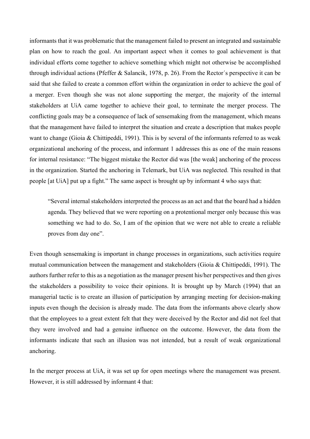informants that it was problematic that the management failed to present an integrated and sustainable plan on how to reach the goal. An important aspect when it comes to goal achievement is that individual efforts come together to achieve something which might not otherwise be accomplished through individual actions (Pfeffer & Salancik, 1978, p. 26). From the Rector´s perspective it can be said that she failed to create a common effort within the organization in order to achieve the goal of a merger. Even though she was not alone supporting the merger, the majority of the internal stakeholders at UiA came together to achieve their goal, to terminate the merger process. The conflicting goals may be a consequence of lack of sensemaking from the management, which means that the management have failed to interpret the situation and create a description that makes people want to change (Gioia & Chittipeddi, 1991). This is by several of the informants referred to as weak organizational anchoring of the process, and informant 1 addresses this as one of the main reasons for internal resistance: "The biggest mistake the Rector did was [the weak] anchoring of the process in the organization. Started the anchoring in Telemark, but UiA was neglected. This resulted in that people [at UiA] put up a fight." The same aspect is brought up by informant 4 who says that:

"Several internal stakeholders interpreted the process as an act and that the board had a hidden agenda. They believed that we were reporting on a protentional merger only because this was something we had to do. So, I am of the opinion that we were not able to create a reliable proves from day one".

Even though sensemaking is important in change processes in organizations, such activities require mutual communication between the management and stakeholders (Gioia & Chittipeddi, 1991). The authors further refer to this as a negotiation as the manager present his/her perspectives and then gives the stakeholders a possibility to voice their opinions. It is brought up by March (1994) that an managerial tactic is to create an illusion of participation by arranging meeting for decision-making inputs even though the decision is already made. The data from the informants above clearly show that the employees to a great extent felt that they were deceived by the Rector and did not feel that they were involved and had a genuine influence on the outcome. However, the data from the informants indicate that such an illusion was not intended, but a result of weak organizational anchoring.

In the merger process at UiA, it was set up for open meetings where the management was present. However, it is still addressed by informant 4 that: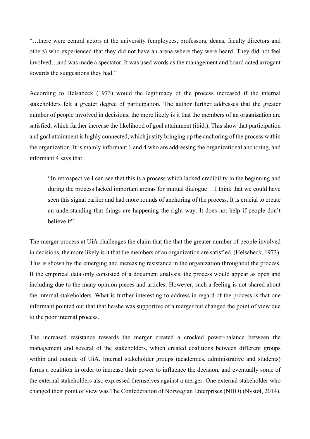"…there were central actors at the university (employees, professors, deans, faculty directors and others) who experienced that they did not have an arena where they were heard. They did not feel involved…and was made a spectator. It was used words as the management and board acted arrogant towards the suggestions they had."

According to Helsabeck (1973) would the legitimacy of the process increased if the internal stakeholders felt a greater degree of participation. The author further addresses that the greater number of people involved in decisions, the more likely is it that the members of an organization are satisfied, which further increase the likelihood of goal attainment (ibid.). This show that participation and goal attainment is highly connected, which justify bringing up the anchoring of the process within the organization. It is mainly informant 1 and 4 who are addressing the organizational anchoring, and informant 4 says that:

"In retrospective I can see that this is a process which lacked credibility in the beginning and during the process lacked important arenas for mutual dialogue… I think that we could have seen this signal earlier and had more rounds of anchoring of the process. It is crucial to create an understanding that things are happening the right way. It does not help if people don't believe it".

The merger process at UiA challenges the claim that the that the greater number of people involved in decisions, the more likely is it that the members of an organization are satisfied (Helsabeck, 1973). This is shown by the emerging and increasing resistance in the organization throughout the process. If the empirical data only consisted of a document analysis, the process would appear as open and including due to the many opinion pieces and articles. However, such a feeling is not shared about the internal stakeholders. What is further interesting to address in regard of the process is that one informant pointed out that that he/she was supportive of a merger but changed the point of view due to the poor internal process.

The increased resistance towards the merger created a crocked power-balance between the management and several of the stakeholders, which created coalitions between different groups within and outside of UiA. Internal stakeholder groups (academics, administrative and students) forms a coalition in order to increase their power to influence the decision, and eventually some of the external stakeholders also expressed themselves against a merger. One external stakeholder who changed their point of view was The Confederation of Norwegian Enterprises (NHO) (Nystøl, 2014).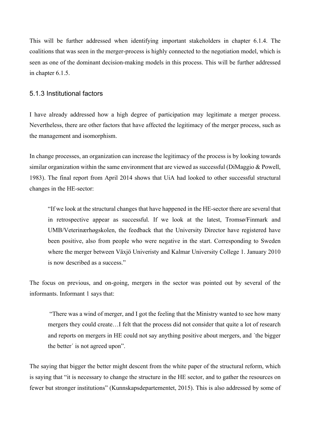This will be further addressed when identifying important stakeholders in chapter 6.1.4. The coalitions that was seen in the merger-process is highly connected to the negotiation model, which is seen as one of the dominant decision-making models in this process. This will be further addressed in chapter 6.1.5.

#### 5.1.3 Institutional factors

I have already addressed how a high degree of participation may legitimate a merger process. Nevertheless, there are other factors that have affected the legitimacy of the merger process, such as the management and isomorphism.

In change processes, an organization can increase the legitimacy of the process is by looking towards similar organization within the same environment that are viewed as successful (DiMaggio & Powell, 1983). The final report from April 2014 shows that UiA had looked to other successful structural changes in the HE-sector:

"If we look at the structural changes that have happened in the HE-sector there are several that in retrospective appear as successful. If we look at the latest, Tromsø/Finmark and UMB/Veterinærhøgskolen, the feedback that the University Director have registered have been positive, also from people who were negative in the start. Corresponding to Sweden where the merger between Växjö Univeristy and Kalmar University College 1. January 2010 is now described as a success."

The focus on previous, and on-going, mergers in the sector was pointed out by several of the informants. Informant 1 says that:

"There was a wind of merger, and I got the feeling that the Ministry wanted to see how many mergers they could create…I felt that the process did not consider that quite a lot of research and reports on mergers in HE could not say anything positive about mergers, and ´the bigger the better´ is not agreed upon".

The saying that bigger the better might descent from the white paper of the structural reform, which is saying that "it is necessary to change the structure in the HE sector, and to gather the resources on fewer but stronger institutions" (Kunnskapsdepartementet, 2015). This is also addressed by some of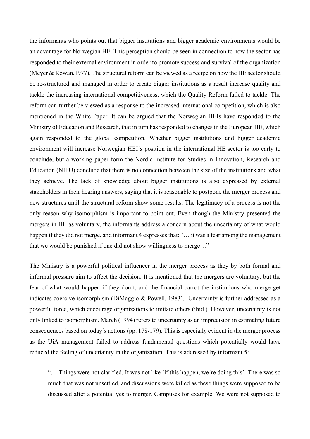the informants who points out that bigger institutions and bigger academic environments would be an advantage for Norwegian HE. This perception should be seen in connection to how the sector has responded to their external environment in order to promote success and survival of the organization (Meyer & Rowan,1977). The structural reform can be viewed as a recipe on how the HE sector should be re-structured and managed in order to create bigger institutions as a result increase quality and tackle the increasing international competitiveness, which the Quality Reform failed to tackle. The reform can further be viewed as a response to the increased international competition, which is also mentioned in the White Paper. It can be argued that the Norwegian HEIs have responded to the Ministry of Education and Research, that in turn has responded to changes in the European HE, which again responded to the global competition. Whether bigger institutions and bigger academic environment will increase Norwegian HEI´s position in the international HE sector is too early to conclude, but a working paper form the Nordic Institute for Studies in Innovation, Research and Education (NIFU) conclude that there is no connection between the size of the institutions and what they achieve. The lack of knowledge about bigger institutions is also expressed by external stakeholders in their hearing answers, saying that it is reasonable to postpone the merger process and new structures until the structural reform show some results. The legitimacy of a process is not the only reason why isomorphism is important to point out. Even though the Ministry presented the mergers in HE as voluntary, the informants address a concern about the uncertainty of what would happen if they did not merge, and informant 4 expresses that: "... it was a fear among the management that we would be punished if one did not show willingness to merge…"

The Ministry is a powerful political influencer in the merger process as they by both formal and informal pressure aim to affect the decision. It is mentioned that the mergers are voluntary, but the fear of what would happen if they don't, and the financial carrot the institutions who merge get indicates coercive isomorphism (DiMaggio & Powell, 1983). Uncertainty is further addressed as a powerful force, which encourage organizations to imitate others (ibid.). However, uncertainty is not only linked to isomorphism. March (1994) refers to uncertainty as an imprecision in estimating future consequences based on today´s actions (pp. 178-179). This is especially evident in the merger process as the UiA management failed to address fundamental questions which potentially would have reduced the feeling of uncertainty in the organization. This is addressed by informant 5:

"… Things were not clarified. It was not like ´if this happen, we´re doing this´. There was so much that was not unsettled, and discussions were killed as these things were supposed to be discussed after a potential yes to merger. Campuses for example. We were not supposed to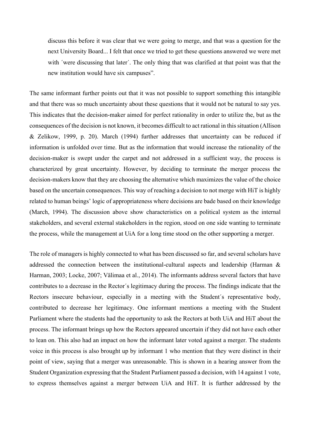discuss this before it was clear that we were going to merge, and that was a question for the next University Board... I felt that once we tried to get these questions answered we were met with *'were discussing that later'*. The only thing that was clarified at that point was that the new institution would have six campuses".

The same informant further points out that it was not possible to support something this intangible and that there was so much uncertainty about these questions that it would not be natural to say yes. This indicates that the decision-maker aimed for perfect rationality in order to utilize the, but as the consequences of the decision is not known, it becomes difficult to act rational in this situation (Allison & Zelikow, 1999, p. 20). March (1994) further addresses that uncertainty can be reduced if information is unfolded over time. But as the information that would increase the rationality of the decision-maker is swept under the carpet and not addressed in a sufficient way, the process is characterized by great uncertainty. However, by deciding to terminate the merger process the decision-makers know that they are choosing the alternative which maximizes the value of the choice based on the uncertain consequences. This way of reaching a decision to not merge with HiT is highly related to human beings' logic of appropriateness where decisions are bade based on their knowledge (March, 1994). The discussion above show characteristics on a political system as the internal stakeholders, and several external stakeholders in the region, stood on one side wanting to terminate the process, while the management at UiA for a long time stood on the other supporting a merger.

The role of managers is highly connected to what has been discussed so far, and several scholars have addressed the connection between the institutional-cultural aspects and leadership (Harman & Harman, 2003; Locke, 2007; Välimaa et al., 2014). The informants address several factors that have contributes to a decrease in the Rector´s legitimacy during the process. The findings indicate that the Rectors insecure behaviour, especially in a meeting with the Student´s representative body, contributed to decrease her legitimacy. One informant mentions a meeting with the Student Parliament where the students had the opportunity to ask the Rectors at both UiA and HiT about the process. The informant brings up how the Rectors appeared uncertain if they did not have each other to lean on. This also had an impact on how the informant later voted against a merger. The students voice in this process is also brought up by informant 1 who mention that they were distinct in their point of view, saying that a merger was unreasonable. This is shown in a hearing answer from the Student Organization expressing that the Student Parliament passed a decision, with 14 against 1 vote, to express themselves against a merger between UiA and HiT. It is further addressed by the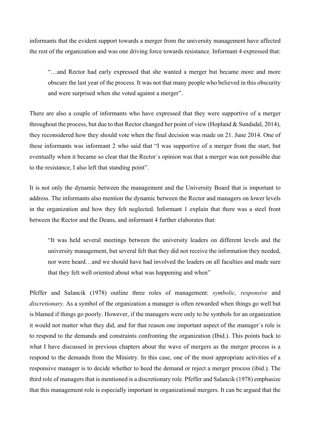informants that the evident support towards a merger from the university management have affected the rest of the organization and was one driving force towards resistance. Informant 4 expressed that:

"…and Rector had early expressed that she wanted a merger but became more and more obscure the last year of the process. It was not that many people who believed in this obscurity and were surprised when she voted against a merger".

There are also a couple of informants who have expressed that they were supportive of a merger throughout the process, but due to that Rector changed her point of view (Hopland & Sundsdal, 2014), they reconsidered how they should vote when the final decision was made on 21. June 2014. One of these informants was informant 2 who said that "I was supportive of a merger from the start, but eventually when it became so clear that the Rector´s opinion was that a merger was not possible due to the resistance, I also left that standing point".

It is not only the dynamic between the management and the University Board that is important to address. The informants also mention the dynamic between the Rector and managers on lower levels in the organization and how they felt neglected. Informant 1 explain that there was a steel front between the Rector and the Deans, and informant 4 further elaborates that:

"It was held several meetings between the university leaders on different levels and the university management, but several felt that they did not receive the information they needed, nor were heard…and we should have had involved the leaders on all faculties and made sure that they felt well oriented about what was happening and when"

Pfeffer and Salancik (1978) outline three roles of management: *symbolic, responsive* and *discretionary.* As a symbol of the organization a manager is often rewarded when things go well but is blamed if things go poorly. However, if the managers were only to be symbols for an organization it would not matter what they did, and for that reason one important aspect of the manager´s role is to respond to the demands and constraints confronting the organization (Ibid.). This points back to what I have discussed in previous chapters about the wave of mergers as the merger process is a respond to the demands from the Ministry. In this case, one of the most appropriate activities of a responsive manager is to decide whether to heed the demand or reject a merger process (ibid.). The third role of managers that is mentioned is a discretionary role. Pfeffer and Salancik (1978) emphasize that this management role is especially important in organizational mergers. It can be argued that the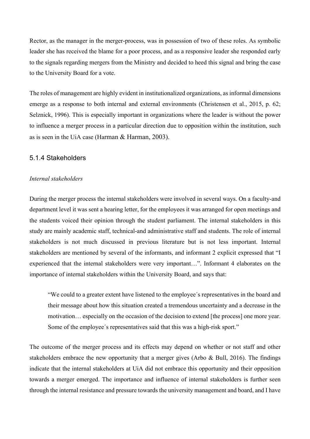Rector, as the manager in the merger-process, was in possession of two of these roles. As symbolic leader she has received the blame for a poor process, and as a responsive leader she responded early to the signals regarding mergers from the Ministry and decided to heed this signal and bring the case to the University Board for a vote.

The roles of management are highly evident in institutionalized organizations, as informal dimensions emerge as a response to both internal and external environments (Christensen et al., 2015, p. 62; Selznick, 1996). This is especially important in organizations where the leader is without the power to influence a merger process in a particular direction due to opposition within the institution, such as is seen in the UiA case (Harman & Harman, 2003).

#### 5.1.4 Stakeholders

#### *Internal stakeholders*

During the merger process the internal stakeholders were involved in several ways. On a faculty-and department level it was sent a hearing letter, for the employees it was arranged for open meetings and the students voiced their opinion through the student parliament. The internal stakeholders in this study are mainly academic staff, technical-and administrative staff and students. The role of internal stakeholders is not much discussed in previous literature but is not less important. Internal stakeholders are mentioned by several of the informants, and informant 2 explicit expressed that "I experienced that the internal stakeholders were very important…". Informant 4 elaborates on the importance of internal stakeholders within the University Board, and says that:

"We could to a greater extent have listened to the employee´s representatives in the board and their message about how this situation created a tremendous uncertainty and a decrease in the motivation… especially on the occasion of the decision to extend [the process] one more year. Some of the employee´s representatives said that this was a high-risk sport."

The outcome of the merger process and its effects may depend on whether or not staff and other stakeholders embrace the new opportunity that a merger gives (Arbo & Bull, 2016). The findings indicate that the internal stakeholders at UiA did not embrace this opportunity and their opposition towards a merger emerged. The importance and influence of internal stakeholders is further seen through the internal resistance and pressure towards the university management and board, and I have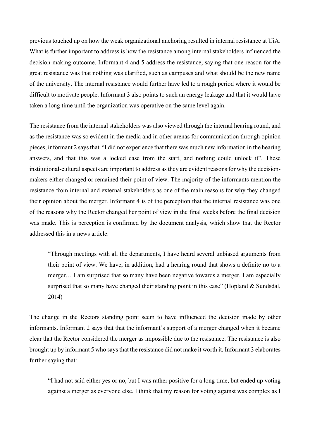previous touched up on how the weak organizational anchoring resulted in internal resistance at UiA. What is further important to address is how the resistance among internal stakeholders influenced the decision-making outcome. Informant 4 and 5 address the resistance, saying that one reason for the great resistance was that nothing was clarified, such as campuses and what should be the new name of the university. The internal resistance would further have led to a rough period where it would be difficult to motivate people. Informant 3 also points to such an energy leakage and that it would have taken a long time until the organization was operative on the same level again.

The resistance from the internal stakeholders was also viewed through the internal hearing round, and as the resistance was so evident in the media and in other arenas for communication through opinion pieces, informant 2 says that "I did not experience that there was much new information in the hearing answers, and that this was a locked case from the start, and nothing could unlock it". These institutional-cultural aspects are important to address as they are evident reasons for why the decisionmakers either changed or remained their point of view. The majority of the informants mention the resistance from internal and external stakeholders as one of the main reasons for why they changed their opinion about the merger. Informant 4 is of the perception that the internal resistance was one of the reasons why the Rector changed her point of view in the final weeks before the final decision was made. This is perception is confirmed by the document analysis, which show that the Rector addressed this in a news article:

"Through meetings with all the departments, I have heard several unbiased arguments from their point of view. We have, in addition, had a hearing round that shows a definite no to a merger… I am surprised that so many have been negative towards a merger. I am especially surprised that so many have changed their standing point in this case" (Hopland & Sundsdal, 2014)

The change in the Rectors standing point seem to have influenced the decision made by other informants. Informant 2 says that that the informant´s support of a merger changed when it became clear that the Rector considered the merger as impossible due to the resistance. The resistance is also brought up by informant 5 who says that the resistance did not make it worth it. Informant 3 elaborates further saying that:

"I had not said either yes or no, but I was rather positive for a long time, but ended up voting against a merger as everyone else. I think that my reason for voting against was complex as I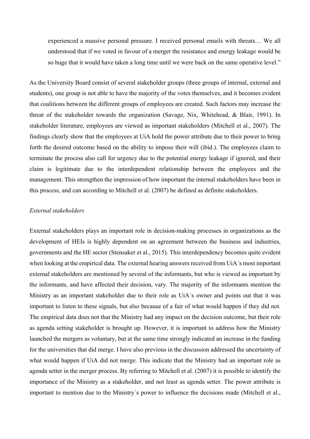experienced a massive personal pressure. I received personal emails with threats… We all understood that if we voted in favour of a merger the resistance and energy leakage would be so huge that it would have taken a long time until we were back on the same operative level."

As the University Board consist of several stakeholder groups (three groups of internal, external and students), one group is not able to have the majority of the votes themselves, and it becomes evident that coalitions between the different groups of employees are created. Such factors may increase the threat of the stakeholder towards the organization (Savage, Nix, Whitehead, & Blair, 1991). In stakeholder literature, employees are viewed as important stakeholders (Mitchell et al., 2007). The findings clearly show that the employees at UiA hold the power attribute due to their power to bring forth the desired outcome based on the ability to impose their will (ibid.). The employees claim to terminate the process also call for urgency due to the potential energy leakage if ignored, and their claim is legitimate due to the interdependent relationship between the employees and the management. This strengthen the impression of how important the internal stakeholders have been in this process, and can according to Mitchell et al. (2007) be defined as definite stakeholders.

#### *External stakeholders*

External stakeholders plays an important role in decision-making processes in organizations as the development of HEIs is highly dependent on an agreement between the business and industries, governments and the HE sector (Stensaker et al., 2015). This interdependency becomes quite evident when looking at the empirical data. The external hearing answers received from UiA's most important external stakeholders are mentioned by several of the informants, but who is viewed as important by the informants, and have affected their decision, vary. The majority of the informants mention the Ministry as an important stakeholder due to their role as UiA´s owner and points out that it was important to listen to these signals, but also because of a fair of what would happen if they did not. The empirical data does not that the Ministry had any impact on the decision outcome, but their role as agenda setting stakeholder is brought up. However, it is important to address how the Ministry launched the mergers as voluntary, but at the same time strongly indicated an increase in the funding for the universities that did merge. I have also previous in the discussion addressed the uncertainty of what would happen if UiA did not merge. This indicate that the Ministry had an important role as agenda setter in the merger process. By referring to Mitchell et al. (2007) it is possible to identify the importance of the Ministry as a stakeholder, and not least as agenda setter. The power attribute is important to mention due to the Ministry´s power to influence the decisions made (Mitchell et al.,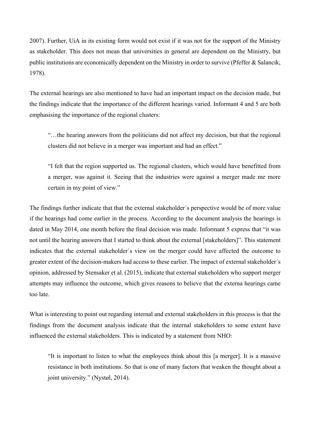2007). Further, UiA in its existing form would not exist if it was not for the support of the Ministry as stakeholder. This does not mean that universities in general are dependent on the Ministry, but public institutions are economically dependent on the Ministry in order to survive (Pfeffer & Salancik, 1978).

The external hearings are also mentioned to have had an important impact on the decision made, but the findings indicate that the importance of the different hearings varied. Informant 4 and 5 are both emphasising the importance of the regional clusters:

"…the hearing answers from the politicians did not affect my decision, but that the regional clusters did not believe in a merger was important and had an effect."

"I felt that the region supported us. The regional clusters, which would have benefitted from a merger, was against it. Seeing that the industries were against a merger made me more certain in my point of view."

The findings further indicate that that the external stakeholder´s perspective would be of more value if the hearings had come earlier in the process. According to the document analysis the hearings is dated in May 2014, one month before the final decision was made. Informant 5 express that "it was not until the hearing answers that I started to think about the external [stakeholders]". This statement indicates that the external stakeholder´s view on the merger could have affected the outcome to greater extent of the decision-makers had access to these earlier. The impact of external stakeholder´s opinion, addressed by Stensaker et al. (2015), indicate that external stakeholders who support merger attempts may influence the outcome, which gives reasons to believe that the externa hearings came too late.

What is interesting to point out regarding internal and external stakeholders in this process is that the findings from the document analysis indicate that the internal stakeholders to some extent have influenced the external stakeholders. This is indicated by a statement from NHO:

"It is important to listen to what the employees think about this [a merger]. It is a massive resistance in both institutions. So that is one of many factors that weaken the thought about a joint university." (Nystøl, 2014).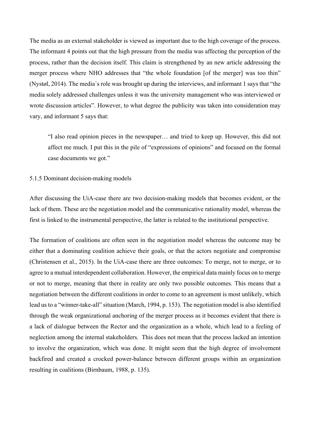The media as an external stakeholder is viewed as important due to the high coverage of the process. The informant 4 points out that the high pressure from the media was affecting the perception of the process, rather than the decision itself. This claim is strengthened by an new article addressing the merger process where NHO addresses that "the whole foundation [of the merger] was too thin" (Nystøl, 2014). The media´s role was brought up during the interviews, and informant 1 says that "the media solely addressed challenges unless it was the university management who was interviewed or wrote discussion articles". However, to what degree the publicity was taken into consideration may vary, and informant 5 says that:

"I also read opinion pieces in the newspaper… and tried to keep up. However, this did not affect me much. I put this in the pile of "expressions of opinions" and focused on the formal case documents we got."

#### 5.1.5 Dominant decision-making models

After discussing the UiA-case there are two decision-making models that becomes evident, or the lack of them. These are the negotiation model and the communicative rationality model, whereas the first is linked to the instrumental perspective, the latter is related to the institutional perspective.

The formation of coalitions are often seen in the negotiation model whereas the outcome may be either that a dominating coalition achieve their goals, or that the actors negotiate and compromise (Christensen et al., 2015). In the UiA-case there are three outcomes: To merge, not to merge, or to agree to a mutual interdependent collaboration. However, the empirical data mainly focus on to merge or not to merge, meaning that there in reality are only two possible outcomes. This means that a negotiation between the different coalitions in order to come to an agreement is most unlikely, which lead us to a "winner-take-all" situation (March, 1994, p. 153). The negotiation model is also identified through the weak organizational anchoring of the merger process as it becomes evident that there is a lack of dialogue between the Rector and the organization as a whole, which lead to a feeling of neglection among the internal stakeholders. This does not mean that the process lacked an intention to involve the organization, which was done. It might seem that the high degree of involvement backfired and created a crocked power-balance between different groups within an organization resulting in coalitions (Birnbaum, 1988, p. 135).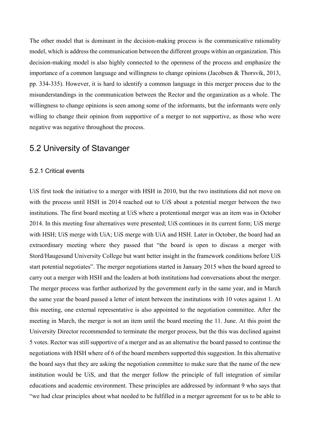The other model that is dominant in the decision-making process is the communicative rationality model, which is address the communication between the different groups within an organization. This decision-making model is also highly connected to the openness of the process and emphasize the importance of a common language and willingness to change opinions (Jacobsen & Thorsvik, 2013, pp. 334-335). However, it is hard to identify a common language in this merger process due to the misunderstandings in the communication between the Rector and the organization as a whole. The willingness to change opinions is seen among some of the informants, but the informants were only willing to change their opinion from supportive of a merger to not supportive, as those who were negative was negative throughout the process.

## 5.2 University of Stavanger

#### 5.2.1 Critical events

UiS first took the initiative to a merger with HSH in 2010, but the two institutions did not move on with the process until HSH in 2014 reached out to UiS about a potential merger between the two institutions. The first board meeting at UiS where a protentional merger was an item was in October 2014. In this meeting four alternatives were presented; UiS continues in its current form; UiS merge with HSH; UiS merge with UiA; UiS merge with UiA and HSH. Later in October, the board had an extraordinary meeting where they passed that "the board is open to discuss a merger with Stord/Haugesund University College but want better insight in the framework conditions before UiS start potential negotiates". The merger negotiations started in January 2015 when the board agreed to carry out a merger with HSH and the leaders at both institutions had conversations about the merger. The merger process was further authorized by the government early in the same year, and in March the same year the board passed a letter of intent between the institutions with 10 votes against 1. At this meeting, one external representative is also appointed to the negotiation committee. After the meeting in March, the merger is not an item until the board meeting the 11. June. At this point the University Director recommended to terminate the merger process, but the this was declined against 5 votes. Rector was still supportive of a merger and as an alternative the board passed to continue the negotiations with HSH where of 6 of the board members supported this suggestion. In this alternative the board says that they are asking the negotiation committee to make sure that the name of the new institution would be UiS, and that the merger follow the principle of full integration of similar educations and academic environment. These principles are addressed by informant 9 who says that "we had clear principles about what needed to be fulfilled in a merger agreement for us to be able to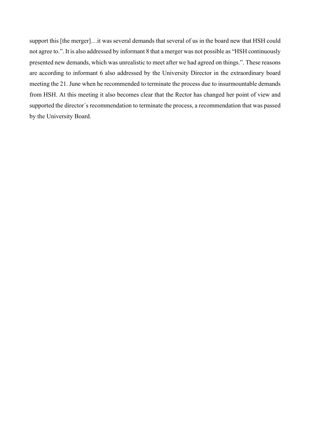support this [the merger]…it was several demands that several of us in the board new that HSH could not agree to.". It is also addressed by informant 8 that a merger was not possible as "HSH continuously presented new demands, which was unrealistic to meet after we had agreed on things.". These reasons are according to informant 6 also addressed by the University Director in the extraordinary board meeting the 21. June when he recommended to terminate the process due to insurmountable demands from HSH. At this meeting it also becomes clear that the Rector has changed her point of view and supported the director´s recommendation to terminate the process, a recommendation that was passed by the University Board.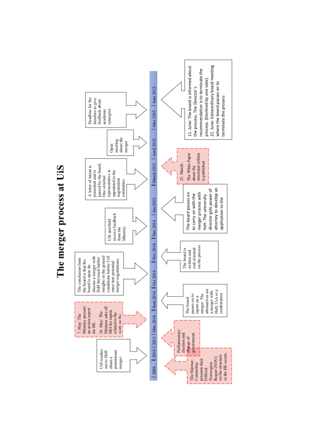The merger process at UiS

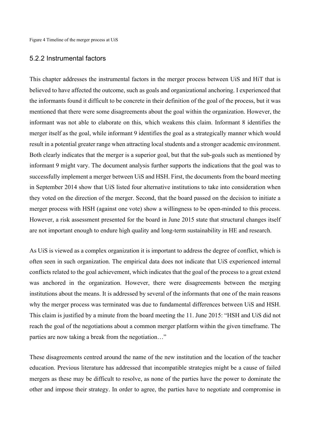#### 5.2.2 Instrumental factors

This chapter addresses the instrumental factors in the merger process between UiS and HiT that is believed to have affected the outcome, such as goals and organizational anchoring. I experienced that the informants found it difficult to be concrete in their definition of the goal of the process, but it was mentioned that there were some disagreements about the goal within the organization. However, the informant was not able to elaborate on this, which weakens this claim. Informant 8 identifies the merger itself as the goal, while informant 9 identifies the goal as a strategically manner which would result in a potential greater range when attracting local students and a stronger academic environment. Both clearly indicates that the merger is a superior goal, but that the sub-goals such as mentioned by informant 9 might vary. The document analysis further supports the indications that the goal was to successfully implement a merger between UiS and HSH. First, the documents from the board meeting in September 2014 show that UiS listed four alternative institutions to take into consideration when they voted on the direction of the merger. Second, that the board passed on the decision to initiate a merger process with HSH (against one vote) show a willingness to be open-minded to this process. However, a risk assessment presented for the board in June 2015 state that structural changes itself are not important enough to endure high quality and long-term sustainability in HE and research.

As UiS is viewed as a complex organization it is important to address the degree of conflict, which is often seen in such organization. The empirical data does not indicate that UiS experienced internal conflicts related to the goal achievement, which indicates that the goal of the process to a great extend was anchored in the organization. However, there were disagreements between the merging institutions about the means. It is addressed by several of the informants that one of the main reasons why the merger process was terminated was due to fundamental differences between UiS and HSH. This claim is justified by a minute from the board meeting the 11. June 2015: "HSH and UiS did not reach the goal of the negotiations about a common merger platform within the given timeframe. The parties are now taking a break from the negotiation…"

These disagreements centred around the name of the new institution and the location of the teacher education. Previous literature has addressed that incompatible strategies might be a cause of failed mergers as these may be difficult to resolve, as none of the parties have the power to dominate the other and impose their strategy. In order to agree, the parties have to negotiate and compromise in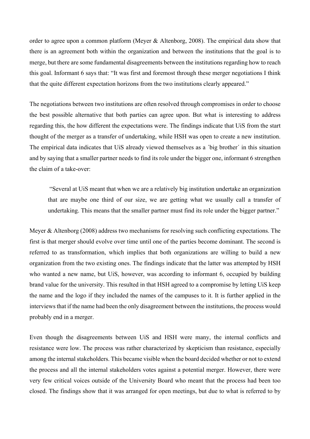order to agree upon a common platform (Meyer & Altenborg, 2008). The empirical data show that there is an agreement both within the organization and between the institutions that the goal is to merge, but there are some fundamental disagreements between the institutions regarding how to reach this goal. Informant 6 says that: "It was first and foremost through these merger negotiations I think that the quite different expectation horizons from the two institutions clearly appeared."

The negotiations between two institutions are often resolved through compromises in order to choose the best possible alternative that both parties can agree upon. But what is interesting to address regarding this, the how different the expectations were. The findings indicate that UiS from the start thought of the merger as a transfer of undertaking, while HSH was open to create a new institution. The empirical data indicates that UiS already viewed themselves as a ´big brother´ in this situation and by saying that a smaller partner needs to find its role under the bigger one, informant 6 strengthen the claim of a take-over:

"Several at UiS meant that when we are a relatively big institution undertake an organization that are maybe one third of our size, we are getting what we usually call a transfer of undertaking. This means that the smaller partner must find its role under the bigger partner."

Meyer & Altenborg (2008) address two mechanisms for resolving such conflicting expectations. The first is that merger should evolve over time until one of the parties become dominant. The second is referred to as transformation, which implies that both organizations are willing to build a new organization from the two existing ones. The findings indicate that the latter was attempted by HSH who wanted a new name, but UiS, however, was according to informant 6, occupied by building brand value for the university. This resulted in that HSH agreed to a compromise by letting UiS keep the name and the logo if they included the names of the campuses to it. It is further applied in the interviews that if the name had been the only disagreement between the institutions, the process would probably end in a merger.

Even though the disagreements between UiS and HSH were many, the internal conflicts and resistance were low. The process was rather characterized by skepticism than resistance, especially among the internal stakeholders. This became visible when the board decided whether or not to extend the process and all the internal stakeholders votes against a potential merger. However, there were very few critical voices outside of the University Board who meant that the process had been too closed. The findings show that it was arranged for open meetings, but due to what is referred to by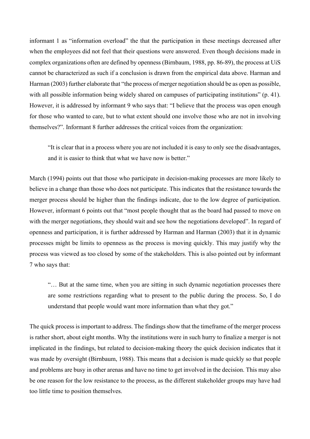informant 1 as "information overload" the that the participation in these meetings decreased after when the employees did not feel that their questions were answered. Even though decisions made in complex organizations often are defined by openness (Birnbaum, 1988, pp. 86-89), the process at UiS cannot be characterized as such if a conclusion is drawn from the empirical data above. Harman and Harman (2003) further elaborate that "the process of merger negotiation should be as open as possible, with all possible information being widely shared on campuses of participating institutions" (p. 41). However, it is addressed by informant 9 who says that: "I believe that the process was open enough for those who wanted to care, but to what extent should one involve those who are not in involving themselves?". Informant 8 further addresses the critical voices from the organization:

"It is clear that in a process where you are not included it is easy to only see the disadvantages, and it is easier to think that what we have now is better."

March (1994) points out that those who participate in decision-making processes are more likely to believe in a change than those who does not participate. This indicates that the resistance towards the merger process should be higher than the findings indicate, due to the low degree of participation. However, informant 6 points out that "most people thought that as the board had passed to move on with the merger negotiations, they should wait and see how the negotiations developed". In regard of openness and participation, it is further addressed by Harman and Harman (2003) that it in dynamic processes might be limits to openness as the process is moving quickly. This may justify why the process was viewed as too closed by some of the stakeholders. This is also pointed out by informant 7 who says that:

"… But at the same time, when you are sitting in such dynamic negotiation processes there are some restrictions regarding what to present to the public during the process. So, I do understand that people would want more information than what they got."

The quick process is important to address. The findings show that the timeframe of the merger process is rather short, about eight months. Why the institutions were in such hurry to finalize a merger is not implicated in the findings, but related to decision-making theory the quick decision indicates that it was made by oversight (Birnbaum, 1988). This means that a decision is made quickly so that people and problems are busy in other arenas and have no time to get involved in the decision. This may also be one reason for the low resistance to the process, as the different stakeholder groups may have had too little time to position themselves.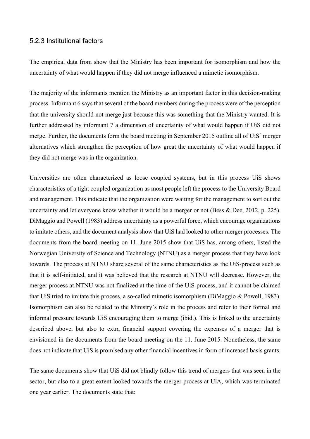#### 5.2.3 Institutional factors

The empirical data from show that the Ministry has been important for isomorphism and how the uncertainty of what would happen if they did not merge influenced a mimetic isomorphism.

The majority of the informants mention the Ministry as an important factor in this decision-making process. Informant 6 says that several of the board members during the process were of the perception that the university should not merge just because this was something that the Ministry wanted. It is further addressed by informant 7 a dimension of uncertainty of what would happen if UiS did not merge. Further, the documents form the board meeting in September 2015 outline all of UiS´ merger alternatives which strengthen the perception of how great the uncertainty of what would happen if they did not merge was in the organization.

Universities are often characterized as loose coupled systems, but in this process UiS shows characteristics of a tight coupled organization as most people left the process to the University Board and management. This indicate that the organization were waiting for the management to sort out the uncertainty and let everyone know whether it would be a merger or not (Bess & Dee, 2012, p. 225). DiMaggio and Powell (1983) address uncertainty as a powerful force, which encourage organizations to imitate others, and the document analysis show that UiS had looked to other merger processes. The documents from the board meeting on 11. June 2015 show that UiS has, among others, listed the Norwegian University of Science and Technology (NTNU) as a merger process that they have look towards. The process at NTNU share several of the same characteristics as the UiS-process such as that it is self-initiated, and it was believed that the research at NTNU will decrease. However, the merger process at NTNU was not finalized at the time of the UiS-process, and it cannot be claimed that UiS tried to imitate this process, a so-called mimetic isomorphism (DiMaggio & Powell, 1983). Isomorphism can also be related to the Ministry's role in the process and refer to their formal and informal pressure towards UiS encouraging them to merge (ibid.). This is linked to the uncertainty described above, but also to extra financial support covering the expenses of a merger that is envisioned in the documents from the board meeting on the 11. June 2015. Nonetheless, the same does not indicate that UiS is promised any other financial incentives in form of increased basis grants.

The same documents show that UiS did not blindly follow this trend of mergers that was seen in the sector, but also to a great extent looked towards the merger process at UiA, which was terminated one year earlier. The documents state that: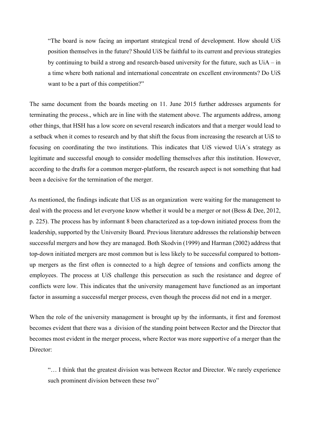"The board is now facing an important strategical trend of development. How should UiS position themselves in the future? Should UiS be faithful to its current and previous strategies by continuing to build a strong and research-based university for the future, such as  $U$ i $A$  – in a time where both national and international concentrate on excellent environments? Do UiS want to be a part of this competition?"

The same document from the boards meeting on 11. June 2015 further addresses arguments for terminating the process., which are in line with the statement above. The arguments address, among other things, that HSH has a low score on several research indicators and that a merger would lead to a setback when it comes to research and by that shift the focus from increasing the research at UiS to focusing on coordinating the two institutions. This indicates that UiS viewed UiA´s strategy as legitimate and successful enough to consider modelling themselves after this institution. However, according to the drafts for a common merger-platform, the research aspect is not something that had been a decisive for the termination of the merger.

As mentioned, the findings indicate that UiS as an organization were waiting for the management to deal with the process and let everyone know whether it would be a merger or not (Bess & Dee, 2012, p. 225). The process has by informant 8 been characterized as a top-down initiated process from the leadership, supported by the University Board. Previous literature addresses the relationship between successful mergers and how they are managed. Both Skodvin (1999) and Harman (2002) address that top-down initiated mergers are most common but is less likely to be successful compared to bottomup mergers as the first often is connected to a high degree of tensions and conflicts among the employees. The process at UiS challenge this persecution as such the resistance and degree of conflicts were low. This indicates that the university management have functioned as an important factor in assuming a successful merger process, even though the process did not end in a merger.

When the role of the university management is brought up by the informants, it first and foremost becomes evident that there was a division of the standing point between Rector and the Director that becomes most evident in the merger process, where Rector was more supportive of a merger than the Director:

"… I think that the greatest division was between Rector and Director. We rarely experience such prominent division between these two"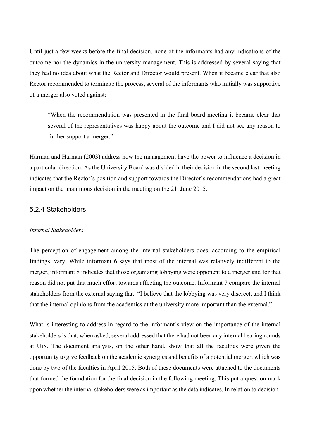Until just a few weeks before the final decision, none of the informants had any indications of the outcome nor the dynamics in the university management. This is addressed by several saying that they had no idea about what the Rector and Director would present. When it became clear that also Rector recommended to terminate the process, several of the informants who initially was supportive of a merger also voted against:

"When the recommendation was presented in the final board meeting it became clear that several of the representatives was happy about the outcome and I did not see any reason to further support a merger."

Harman and Harman (2003) address how the management have the power to influence a decision in a particular direction. As the University Board was divided in their decision in the second last meeting indicates that the Rector´s position and support towards the Director´s recommendations had a great impact on the unanimous decision in the meeting on the 21. June 2015.

#### 5.2.4 Stakeholders

#### *Internal Stakeholders*

The perception of engagement among the internal stakeholders does, according to the empirical findings, vary. While informant 6 says that most of the internal was relatively indifferent to the merger, informant 8 indicates that those organizing lobbying were opponent to a merger and for that reason did not put that much effort towards affecting the outcome. Informant 7 compare the internal stakeholders from the external saying that: "I believe that the lobbying was very discreet, and I think that the internal opinions from the academics at the university more important than the external."

What is interesting to address in regard to the informant's view on the importance of the internal stakeholders is that, when asked, several addressed that there had not been any internal hearing rounds at UiS. The document analysis, on the other hand, show that all the faculties were given the opportunity to give feedback on the academic synergies and benefits of a potential merger, which was done by two of the faculties in April 2015. Both of these documents were attached to the documents that formed the foundation for the final decision in the following meeting. This put a question mark upon whether the internal stakeholders were as important as the data indicates. In relation to decision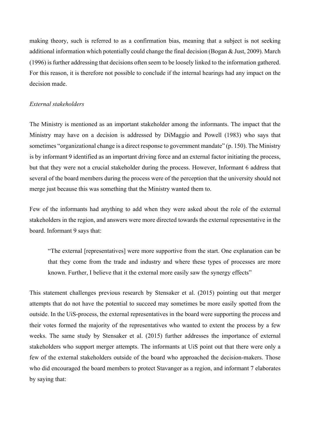making theory, such is referred to as a confirmation bias, meaning that a subject is not seeking additional information which potentially could change the final decision (Bogan & Just, 2009). March (1996) is further addressing that decisions often seem to be loosely linked to the information gathered. For this reason, it is therefore not possible to conclude if the internal hearings had any impact on the decision made.

#### *External stakeholders*

The Ministry is mentioned as an important stakeholder among the informants. The impact that the Ministry may have on a decision is addressed by DiMaggio and Powell (1983) who says that sometimes "organizational change is a direct response to government mandate" (p. 150). The Ministry is by informant 9 identified as an important driving force and an external factor initiating the process, but that they were not a crucial stakeholder during the process. However, Informant 6 address that several of the board members during the process were of the perception that the university should not merge just because this was something that the Ministry wanted them to.

Few of the informants had anything to add when they were asked about the role of the external stakeholders in the region, and answers were more directed towards the external representative in the board. Informant 9 says that:

"The external [representatives] were more supportive from the start. One explanation can be that they come from the trade and industry and where these types of processes are more known. Further, I believe that it the external more easily saw the synergy effects"

This statement challenges previous research by Stensaker et al. (2015) pointing out that merger attempts that do not have the potential to succeed may sometimes be more easily spotted from the outside. In the UiS-process, the external representatives in the board were supporting the process and their votes formed the majority of the representatives who wanted to extent the process by a few weeks. The same study by Stensaker et al. (2015) further addresses the importance of external stakeholders who support merger attempts. The informants at UiS point out that there were only a few of the external stakeholders outside of the board who approached the decision-makers. Those who did encouraged the board members to protect Stavanger as a region, and informant 7 elaborates by saying that: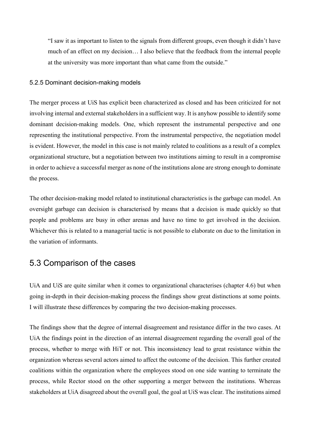"I saw it as important to listen to the signals from different groups, even though it didn't have much of an effect on my decision… I also believe that the feedback from the internal people at the university was more important than what came from the outside."

#### 5.2.5 Dominant decision-making models

The merger process at UiS has explicit been characterized as closed and has been criticized for not involving internal and external stakeholders in a sufficient way. It is anyhow possible to identify some dominant decision-making models. One, which represent the instrumental perspective and one representing the institutional perspective. From the instrumental perspective, the negotiation model is evident. However, the model in this case is not mainly related to coalitions as a result of a complex organizational structure, but a negotiation between two institutions aiming to result in a compromise in order to achieve a successful merger as none of the institutions alone are strong enough to dominate the process.

The other decision-making model related to institutional characteristics is the garbage can model. An oversight garbage can decision is characterised by means that a decision is made quickly so that people and problems are busy in other arenas and have no time to get involved in the decision. Whichever this is related to a managerial tactic is not possible to elaborate on due to the limitation in the variation of informants.

## 5.3 Comparison of the cases

UiA and UiS are quite similar when it comes to organizational characterises (chapter 4.6) but when going in-depth in their decision-making process the findings show great distinctions at some points. I will illustrate these differences by comparing the two decision-making processes.

The findings show that the degree of internal disagreement and resistance differ in the two cases. At UiA the findings point in the direction of an internal disagreement regarding the overall goal of the process, whether to merge with HiT or not. This inconsistency lead to great resistance within the organization whereas several actors aimed to affect the outcome of the decision. This further created coalitions within the organization where the employees stood on one side wanting to terminate the process, while Rector stood on the other supporting a merger between the institutions. Whereas stakeholders at UiA disagreed about the overall goal, the goal at UiS was clear. The institutions aimed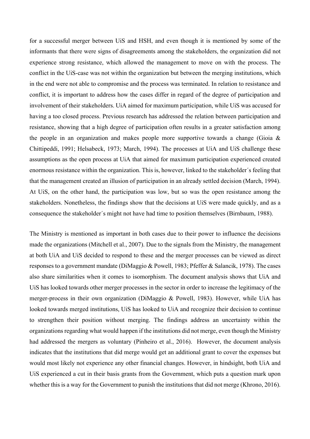for a successful merger between UiS and HSH, and even though it is mentioned by some of the informants that there were signs of disagreements among the stakeholders, the organization did not experience strong resistance, which allowed the management to move on with the process. The conflict in the UiS-case was not within the organization but between the merging institutions, which in the end were not able to compromise and the process was terminated. In relation to resistance and conflict, it is important to address how the cases differ in regard of the degree of participation and involvement of their stakeholders. UiA aimed for maximum participation, while UiS was accused for having a too closed process. Previous research has addressed the relation between participation and resistance, showing that a high degree of participation often results in a greater satisfaction among the people in an organization and makes people more supportive towards a change (Gioia  $\&$ Chittipeddi, 1991; Helsabeck, 1973; March, 1994). The processes at UiA and UiS challenge these assumptions as the open process at UiA that aimed for maximum participation experienced created enormous resistance within the organization. This is, however, linked to the stakeholder´s feeling that that the management created an illusion of participation in an already settled decision (March, 1994). At UiS, on the other hand, the participation was low, but so was the open resistance among the stakeholders. Nonetheless, the findings show that the decisions at UiS were made quickly, and as a consequence the stakeholder´s might not have had time to position themselves (Birnbaum, 1988).

The Ministry is mentioned as important in both cases due to their power to influence the decisions made the organizations (Mitchell et al., 2007). Due to the signals from the Ministry, the management at both UiA and UiS decided to respond to these and the merger processes can be viewed as direct responses to a government mandate (DiMaggio & Powell, 1983; Pfeffer & Salancik, 1978). The cases also share similarities when it comes to isomorphism. The document analysis shows that UiA and UiS has looked towards other merger processes in the sector in order to increase the legitimacy of the merger-process in their own organization (DiMaggio & Powell, 1983). However, while UiA has looked towards merged institutions, UiS has looked to UiA and recognize their decision to continue to strengthen their position without merging. The findings address an uncertainty within the organizations regarding what would happen if the institutions did not merge, even though the Ministry had addressed the mergers as voluntary (Pinheiro et al., 2016). However, the document analysis indicates that the institutions that did merge would get an additional grant to cover the expenses but would most likely not experience any other financial changes. However, in hindsight, both UiA and UiS experienced a cut in their basis grants from the Government, which puts a question mark upon whether this is a way for the Government to punish the institutions that did not merge (Khrono, 2016).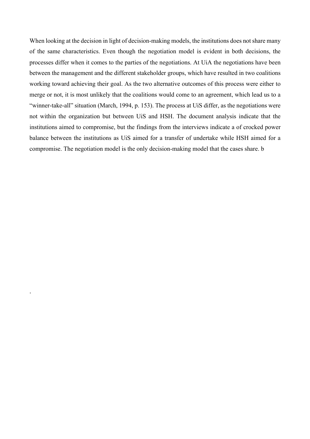When looking at the decision in light of decision-making models, the institutions does not share many of the same characteristics. Even though the negotiation model is evident in both decisions, the processes differ when it comes to the parties of the negotiations. At UiA the negotiations have been between the management and the different stakeholder groups, which have resulted in two coalitions working toward achieving their goal. As the two alternative outcomes of this process were either to merge or not, it is most unlikely that the coalitions would come to an agreement, which lead us to a "winner-take-all" situation (March, 1994, p. 153). The process at UiS differ, as the negotiations were not within the organization but between UiS and HSH. The document analysis indicate that the institutions aimed to compromise, but the findings from the interviews indicate a of crocked power balance between the institutions as UiS aimed for a transfer of undertake while HSH aimed for a compromise. The negotiation model is the only decision-making model that the cases share. b

.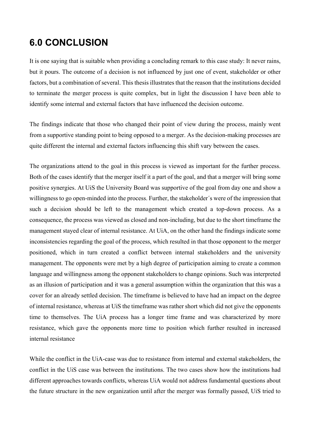# **6.0 CONCLUSION**

It is one saying that is suitable when providing a concluding remark to this case study: It never rains, but it pours. The outcome of a decision is not influenced by just one of event, stakeholder or other factors, but a combination of several. This thesis illustrates that the reason that the institutions decided to terminate the merger process is quite complex, but in light the discussion I have been able to identify some internal and external factors that have influenced the decision outcome.

The findings indicate that those who changed their point of view during the process, mainly went from a supportive standing point to being opposed to a merger. As the decision-making processes are quite different the internal and external factors influencing this shift vary between the cases.

The organizations attend to the goal in this process is viewed as important for the further process. Both of the cases identify that the merger itself it a part of the goal, and that a merger will bring some positive synergies. At UiS the University Board was supportive of the goal from day one and show a willingness to go open-minded into the process. Further, the stakeholder´s were of the impression that such a decision should be left to the management which created a top-down process. As a consequence, the process was viewed as closed and non-including, but due to the short timeframe the management stayed clear of internal resistance. At UiA, on the other hand the findings indicate some inconsistencies regarding the goal of the process, which resulted in that those opponent to the merger positioned, which in turn created a conflict between internal stakeholders and the university management. The opponents were met by a high degree of participation aiming to create a common language and willingness among the opponent stakeholders to change opinions. Such was interpreted as an illusion of participation and it was a general assumption within the organization that this was a cover for an already settled decision. The timeframe is believed to have had an impact on the degree of internal resistance, whereas at UiS the timeframe was rather short which did not give the opponents time to themselves. The UiA process has a longer time frame and was characterized by more resistance, which gave the opponents more time to position which further resulted in increased internal resistance

While the conflict in the UiA-case was due to resistance from internal and external stakeholders, the conflict in the UiS case was between the institutions. The two cases show how the institutions had different approaches towards conflicts, whereas UiA would not address fundamental questions about the future structure in the new organization until after the merger was formally passed, UiS tried to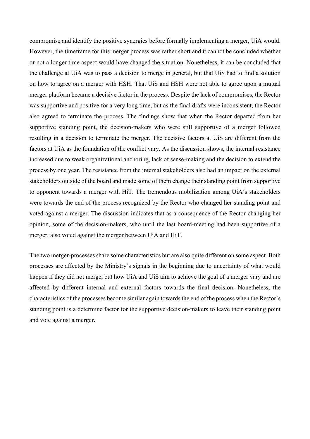compromise and identify the positive synergies before formally implementing a merger, UiA would. However, the timeframe for this merger process was rather short and it cannot be concluded whether or not a longer time aspect would have changed the situation. Nonetheless, it can be concluded that the challenge at UiA was to pass a decision to merge in general, but that UiS had to find a solution on how to agree on a merger with HSH. That UiS and HSH were not able to agree upon a mutual merger platform became a decisive factor in the process. Despite the lack of compromises, the Rector was supportive and positive for a very long time, but as the final drafts were inconsistent, the Rector also agreed to terminate the process. The findings show that when the Rector departed from her supportive standing point, the decision-makers who were still supportive of a merger followed resulting in a decision to terminate the merger. The decisive factors at UiS are different from the factors at UiA as the foundation of the conflict vary. As the discussion shows, the internal resistance increased due to weak organizational anchoring, lack of sense-making and the decision to extend the process by one year. The resistance from the internal stakeholders also had an impact on the external stakeholders outside of the board and made some of them change their standing point from supportive to opponent towards a merger with HiT. The tremendous mobilization among UiA´s stakeholders were towards the end of the process recognized by the Rector who changed her standing point and voted against a merger. The discussion indicates that as a consequence of the Rector changing her opinion, some of the decision-makers, who until the last board-meeting had been supportive of a merger, also voted against the merger between UiA and HiT.

The two merger-processes share some characteristics but are also quite different on some aspect. Both processes are affected by the Ministry´s signals in the beginning due to uncertainty of what would happen if they did not merge, but how UiA and UiS aim to achieve the goal of a merger vary and are affected by different internal and external factors towards the final decision. Nonetheless, the characteristics of the processes become similar again towards the end of the process when the Rector´s standing point is a determine factor for the supportive decision-makers to leave their standing point and vote against a merger.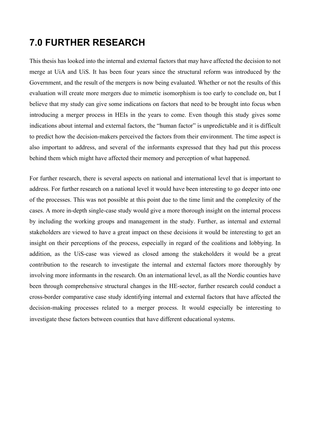# **7.0 FURTHER RESEARCH**

This thesis has looked into the internal and external factors that may have affected the decision to not merge at UiA and UiS. It has been four years since the structural reform was introduced by the Government, and the result of the mergers is now being evaluated. Whether or not the results of this evaluation will create more mergers due to mimetic isomorphism is too early to conclude on, but I believe that my study can give some indications on factors that need to be brought into focus when introducing a merger process in HEIs in the years to come. Even though this study gives some indications about internal and external factors, the "human factor" is unpredictable and it is difficult to predict how the decision-makers perceived the factors from their environment. The time aspect is also important to address, and several of the informants expressed that they had put this process behind them which might have affected their memory and perception of what happened.

For further research, there is several aspects on national and international level that is important to address. For further research on a national level it would have been interesting to go deeper into one of the processes. This was not possible at this point due to the time limit and the complexity of the cases. A more in-depth single-case study would give a more thorough insight on the internal process by including the working groups and management in the study. Further, as internal and external stakeholders are viewed to have a great impact on these decisions it would be interesting to get an insight on their perceptions of the process, especially in regard of the coalitions and lobbying. In addition, as the UiS-case was viewed as closed among the stakeholders it would be a great contribution to the research to investigate the internal and external factors more thoroughly by involving more informants in the research. On an international level, as all the Nordic counties have been through comprehensive structural changes in the HE-sector, further research could conduct a cross-border comparative case study identifying internal and external factors that have affected the decision-making processes related to a merger process. It would especially be interesting to investigate these factors between counties that have different educational systems.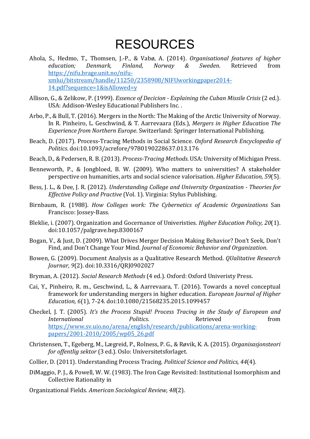# RESOURCES

- Ahola, S., Hedmo, T., Thomsen, J.-P., & Vabø, A. (2014). *Organisational features of higher education; Denmark, Finland, Norway & Sweden*. Retrieved from https://nifu.brage.unit.no/nifuxmlui/bitstream/handle/11250/2358908/NIFUworkingpaper2014- 14.pdf?sequence=1&isAllowed=y
- Allison, G., & Zelikow, P. (1999). *Essence of Decicion Explaining the Cuban Missile Crisis* (2 ed.). USA: Addison-Wesley Educational Publishers Inc..
- Arbo, P., & Bull, T. (2016). Mergers in the North: The Making of the Arctic University of Norway. In R. Pinheiro, L. Geschwind, & T. Aarrevaara (Eds.), *Mergers in Higher Education The Experience from Northern Europe*. Switzerland: Springer International Publishing.
- Beach, D. (2017). Process-Tracing Methods in Social Science. *Oxford Research Encyclopedia of Politics*. doi:10.1093/acrefore/9780190228637.013.176
- Beach, D., & Pedersen, R. B. (2013). *Process-Tracing Methods*. USA: University of Michigan Press.
- Benneworth, P., & Jongbloed, B. W. (2009). Who matters to universities? A stakeholder perspective on humanities, arts and social science valorisation. *Higher Education*, 59(5).
- Bess, J. L., & Dee, J. R. (2012). *Understanding College and University Organization Theories for Effective Policy and Practive* (Vol. 1). Virginia: Stylus Publishing.
- Birnbaum, R. (1988). *How Colleges work: The Cybernetics of Academic Organizations* San Francisco: Jossey-Bass.
- Bleklie, i. (2007). Organization and Gocernance of Univeristies. *Higher Education Policy, 20*(1). doi:10.1057/palgrave.hep.8300167
- Bogan, V., & Just, D. (2009). What Drives Merger Decision Making Behavior? Don't Seek, Don't Find, and Don't Change Your Mind. *Journal of Economic Behavior and Organization*.
- Bowen, G. (2009). Document Analysis as a Qualitative Research Method. *QUalitative Research Journar, 9*(2). doi:10.3316/QRJ0902027
- Bryman, A. (2012). *Social Research Methods* (4 ed.). Oxford: Oxford Univeristy Press.
- Cai, Y., Pinheiro, R. m., Geschwind, L., & Aarrevaara, T. (2016). Towards a novel conceptual framework for understanding mergers in higher education. *European Journal of Higher Education, 6*(1), 7-24. doi:10.1080/21568235.2015.1099457
- Checkel, J. T. (2005). *It's the Process Stupid! Process Tracing in the Study of European and International Politics*. Retrieved **from** https://www.sv.uio.no/arena/english/research/publications/arena-workingpapers/2001-2010/2005/wp05\_26.pdf
- Christensen, T., Egeberg, M., Lægreid, P., Rolness, P. G., & Røvik, K. A. (2015). *Organisasjonsteori for offentlig sektor* (3 ed.). Oslo: Universitetsforlaget.
- Collier, D. (2011). Understanding Process Tracing. *Political Science and Politics, 44*(4).
- DiMaggio, P. J., & Powell, W. W. (1983). The Iron Cage Revisited: Institutional Isomorphism and Collective Rationality in
- Organizational Fields. *American Sociological Review, 48*(2).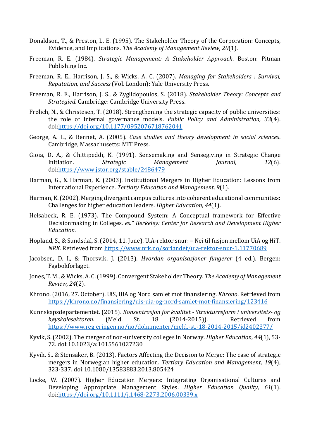- Donaldson, T., & Preston, L. E. (1995). The Stakeholder Theory of the Corporation: Concepts, Evidence, and Implications. The Academy of Management Review, 20(1).
- Freeman, R. E. (1984). *Strategic Management: A Stakeholder Approach*. Boston: Pitman Publishing Inc.
- Freeman, R. E., Harrison, J. S., & Wicks, A. C. (2007). *Managing for Stakeholders : Survival, Reputation, and Success* (Vol. London): Yale University Press.
- Freeman, R. E., Harrison, J. S., & Zyglidopoulos, S. (2018). *Stakeholder Theory: Concepts and Strategied. Cambridge: Cambridge University Press.*
- Frølich, N., & Christesen, T. (2018). Strengthening the strategic capacity of public universities: the role of internal governance models. *Public Policy and Administration, 33*(4). doi:https://doi.org/10.1177/0952076718762041
- George, A. L., & Bennet, A. (2005). *Case studies and theory development in social sciences*. Cambridge, Massachusetts: MIT Press.
- Gioia, D. A., & Chittipeddi, K. (1991). Sensemaking and Sensegiving in Strategic Change Initiation. *Strategic Management Journal,* 12(6). doi:https://www.jstor.org/stable/2486479
- Harman, G., & Harman, K. (2003). Institutional Mergers in Higher Education: Lessons from International Experience. *Tertiary Education and Management*, 9(1).
- Harman, K. (2002). Merging divergent campus cultures into coherent educational communities: Challenges for higher education leaders. *Higher Education*, 44(1).
- Helsabeck, R. E. (1973). The Compound System: A Conceptual framework for Effective Decisionmaking in Colleges. es." Berkeley: Center for Research and Development Higher *Education*.
- Hopland, S., & Sundsdal, S. (2014, 11. June). UiA-rektor snur: Nei til fusjon mellom UiA og HiT. *NRK*. Retrieved from https://www.nrk.no/sorlandet/uia-rektor-snur-1.11770689
- Jacobsen, D. I., & Thorsvik, J. (2013). *Hvordan organisasjoner fungerer* (4 ed.). Bergen: Fagbokforlaget.
- Jones, T. M., & Wicks, A. C. (1999). Convergent Stakeholder Theory. *The Academy of Management Review, 24*(2).
- Khrono. (2016, 27. October). UiS, UiA og Nord samlet mot finansiering. *Khrono*. Retrieved from https://khrono.no/finansiering/uis-uia-og-nord-samlet-mot-finansiering/123416
- Kunnskapsdepartementet. (2015). *Konsentrasjon for kvalitet Strukturreform i universitets- og* høyskolesektoren. (Meld. St. 18 (2014-2015)). Retrieved from https://www.regjeringen.no/no/dokumenter/meld.-st.-18-2014-2015/id2402377/
- Kyvik, S. (2002). The merger of non-university colleges in Norway. *Higher Education, 44*(1), 53-72. doi:10.1023/a:1015561027230
- Kyvik, S., & Stensaker, B. (2013). Factors Affecting the Decision to Merge: The case of strategic mergers in Norwegian higher education. *Tertiary Education and Management*, 19(4), 323-337. doi:10.1080/13583883.2013.805424
- Locke, W. (2007). Higher Education Mergers: Integrating Organisational Cultures and Developing Appropriate Management Styles. *Higher Education Quality, 61*(1). doi:https://doi.org/10.1111/j.1468-2273.2006.00339.x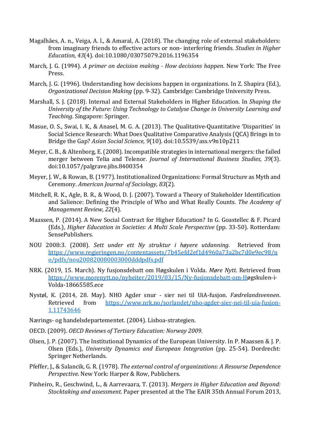- Magalhães, A. n., Veiga, A. l., & Amaral, A. (2018). The changing role of external stakeholders: from imaginary friends to effective actors or non- interfering friends. *Studies in Higher Education, 43*(4). doi:10.1080/03075079.2016.1196354
- March, J. G. (1994). *A primer on decision making How decisions happen*. New York: The Free Press.
- March, J. G. (1996). Understanding how decisions happen in organizations. In Z. Shapira (Ed.), *Organizational Decision Making* (pp. 9-32). Cambridge: Cambridge University Press.
- Marshall, S. J. (2018). Internal and External Stakeholders in Higher Education. In *Shaping the* University of the Future: Using Technology to Catalyse Change in University Learning and *Teaching*. Singapore: Springer.
- Masue, O. S., Swai, I. K., & Anasel, M. G. A. (2013). The Qualitative-Quantitative 'Disparities' in Social Science Research: What Does Qualitative Comparative Analysis (QCA) Brings in to Bridge the Gap? Asian Social Science, 9(10). doi:10.5539/ass.v9n10p211
- Meyer, C. B., & Altenborg, E. (2008). Incompatible strategies in international mergers: the failed merger between Telia and Telenor. *Journal of International Business Studies*, 39(3). doi:10.1057/palgrave.jibs.8400354
- Meyer, J. W., & Rowan, B. (1977). Institutionalized Organizations: Formal Structure as Myth and Ceremony. *American Journal of Sociology, 83*(2).
- Mitchell, R. K., Agle, B. R., & Wood, D. J. (2007). Toward a Theory of Stakeholder Identification and Salience: Defining the Principle of Who and What Really Counts. *The Academy of Management Review, 22*(4).
- Maassen, P. (2014). A New Social Contract for Higher Education? In G. Goastellec & F. Picard (Eds.), *Higher Education in Societies: A Multi Scale Perspective* (pp. 33-50). Rotterdam: SensePublishers.
- NOU 2008:3. (2008). *Sett under ett Ny struktur i høyere utdanning*. Retrieved from https://www.regjeringen.no/contentassets/7b45efd2ef1d4960a73a2bc7d0e9ec98/n o/pdfs/nou200820080003000dddpdfs.pdf
- NRK. (2019, 15. March). Ny fusjonsdebatt om Høgskulen i Volda. *Møre Nytt*. Retrieved from https://www.morenytt.no/nyheiter/2019/03/15/Ny-fusjonsdebatt-om-Høgskulen-i-Volda-18665585.ece
- Nystøl, K. (2014, 28. May). NHO Agder snur sier nei til UiA-fusjon. *Fædrelandsvennen*. Retrieved from https://www.nrk.no/sorlandet/nho-agder-sier-nei-til-uia-fusjon-1.11743646
- Nærings- og handelsdepartementet. (2004). Lisboa-strategien.
- OECD. (2009). *OECD Reviews of Tertiary Education: Norway 2009.*
- Olsen, J. P. (2007). The Institutional Dynamics of the European University. In P. Maassen & J. P. Olsen (Eds.), *University Dynamics and European Integration* (pp. 25-54). Dordrecht: Springer Netherlands.
- Pfeffer, J., & Salancik, G. R. (1978). *The external control of organizations: A Resourse Dependence Perspective*. New York: Harper & Row, Publichers.
- Pinheiro, R., Geschwind, L., & Aarrevaara, T. (2013). *Mergers in Higher Education and Beyond: Stocktaking and assessment.* Paper presented at the The EAIR 35th Annual Forum 2013,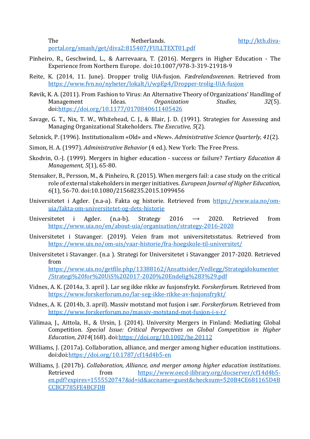portal.org/smash/get/diva2:815407/FULLTEXT01.pdf

- Pinheiro, R., Geschwind, L., & Aarrevaara, T. (2016). Mergers in Higher Education The Experience from Northern Europe. doi:10.1007/978-3-319-21918-9
- Reite, K. (2014, 11. June). Dropper trolig UiA-fusjon. *Fædrelandsvennen*. Retrieved from https://www.fvn.no/nyheter/lokalt/i/wpEp4/Dropper-trolig-UiA-fusjon
- Røvik, K. A. (2011). From Fashion to Virus: An Alternative Theory of Organizations' Handling of Management Ideas. *Organization Studies,* 32(5). doi:https://doi.org/10.1177/0170840611405426
- Savage, G. T., Nix, T. W., Whitehead, C. J., & Blair, J. D. (1991). Strategies for Assessing and Managing Organizational Stakeholders. The Executive, 5(2).
- Selznick, P. (1996). Institutionalism «Old» and «New». Administrative Science Quarterly, 41(2).
- Simon, H. A. (1997). *Administrative Behavior* (4 ed.). New York: The Free Press.
- Skodvin, O.-J. (1999). Mergers in higher education success or failure? *Tertiary Education & Management,* 5(1), 65-80.
- Stensaker, B., Persson, M., & Pinheiro, R. (2015). When mergers fail: a case study on the critical role of external stakeholders in merger initiatives. *European Journal of Higher Education*, *6*(1), 56-70. doi:10.1080/21568235.2015.1099456
- Universitetet i Agder. (n.a-a). Fakta og historie. Retrieved from https://www.uia.no/omuia/fakta-om-universitetet-og-dets-historie
- Universitetet i Agder. (n.a-b). Strategy 2016  $\rightarrow$  2020. Retrieved from https://www.uia.no/en/about-uia/organisation/strategy-2016-2020
- Universitetet i Stavanger. (2019). Veien fram mot universitetsstatus. Retrieved from https://www.uis.no/om-uis/vaar-historie/fra-hoegskole-til-universitet/
- Universitetet i Stavanger. (n.a ). Strategi for Universitetet i Stavangger 2017-2020. Retrieved from

https://www.uis.no/getfile.php/13388162/Ansattsider/Vedlegg/Strategidokumenter /Strategi%20for%20UiS%202017-2020%20Endelig%283%29.pdf

- Vidnes, A. K. (2014a, 3. april ). Lar seg ikke rikke av fusjonsfrykt. *Forskerforum*. Retrieved from https://www.forskerforum.no/lar-seg-ikke-rikke-av-fusjonsfrykt/
- Vidnes, A. K. (2014b, 3. april). Massiv motstand mot fusjon i sør. *Forskerforum*. Retrieved from https://www.forskerforum.no/massiv-motstand-mot-fusjon-i-s-r/
- Välimaa, J., Aittola, H., & Ursin, J. (2014). University Mergers in Finland: Mediating Global Competition. *Special Issue: Critical Perspectives on Global Competition in Higher Education, 2014*(168). doi:https://doi.org/10.1002/he.20112
- Williams, J. (2017a). Collaboration, alliance, and merger among higher education institutions. doi:doi:https://doi.org/10.1787/cf14d4b5-en
- Williams, J. (2017b). *Collaboration, Alliance, and merger among higher education institutions.* Retrieved from https://www.oecd-ilibrary.org/docserver/cf14d4b5en.pdf?expires=1555520747&id=id&accname=guest&checksum=520B4CE681165D4B CCBCF785FE4BCFDB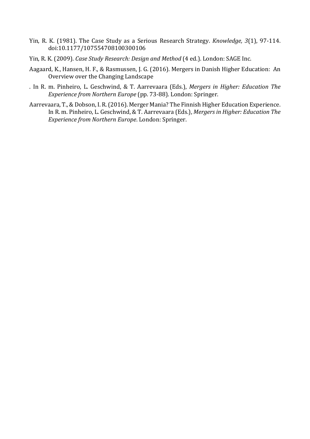- Yin, R. K. (1981). The Case Study as a Serious Research Strategy. *Knowledge,* 3(1), 97-114. doi:10.1177/107554708100300106
- Yin, R. K. (2009). *Case Study Research: Design and Method* (4 ed.). London: SAGE Inc.
- Aagaard, K., Hansen, H. F., & Rasmussen, J. G. (2016). Mergers in Danish Higher Education: An Overview over the Changing Landscape
- . In R. m. Pinheiro, L. Geschwind, & T. Aarrevaara (Eds.), *Mergers in Higher: Education The Experience from Northern Europe* (pp. 73-88). London: Springer.
- Aarrevaara, T., & Dobson, I. R. (2016). Merger Mania? The Finnish Higher Education Experience. In R. m. Pinheiro, L. Geschwind, & T. Aarrevaara (Eds.), *Mergers in Higher: Education The Experience from Northern Europe*. London: Springer.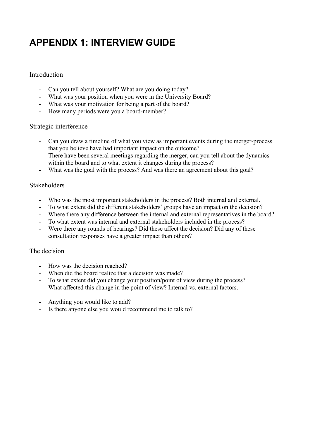## **APPENDIX 1: INTERVIEW GUIDE**

## Introduction

- Can you tell about yourself? What are you doing today?
- What was your position when you were in the University Board?
- What was your motivation for being a part of the board?
- How many periods were you a board-member?

#### Strategic interference

- Can you draw a timeline of what you view as important events during the merger-process that you believe have had important impact on the outcome?
- There have been several meetings regarding the merger, can you tell about the dynamics within the board and to what extent it changes during the process?
- What was the goal with the process? And was there an agreement about this goal?

## Stakeholders

- Who was the most important stakeholders in the process? Both internal and external.
- To what extent did the different stakeholders' groups have an impact on the decision?
- Where there any difference between the internal and external representatives in the board?
- To what extent was internal and external stakeholders included in the process?
- Were there any rounds of hearings? Did these affect the decision? Did any of these consultation responses have a greater impact than others?

## The decision

- How was the decision reached?
- When did the board realize that a decision was made?
- To what extent did you change your position/point of view during the process?
- What affected this change in the point of view? Internal vs. external factors.
- Anything you would like to add?
- Is there anyone else you would recommend me to talk to?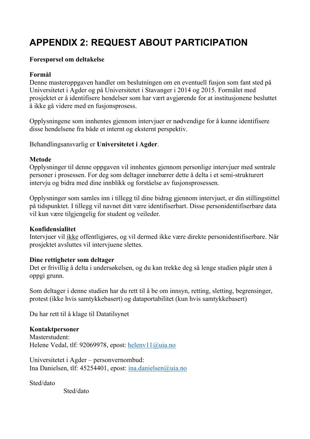# **APPENDIX 2: REQUEST ABOUT PARTICIPATION**

## **Forespørsel om deltakelse**

## **Formål**

Denne masteroppgaven handler om beslutningen om en eventuell fusjon som fant sted på Universitetet i Agder og på Universitetet i Stavanger i 2014 og 2015. Formålet med prosjektet er å identifisere hendelser som har vært avgjørende for at institusjonene besluttet å ikke gå videre med en fusjonsprosess.

Opplysningene som innhentes gjennom intervjuer er nødvendige for å kunne identifisere disse hendelsene fra både et internt og eksternt perspektiv.

Behandlingsansvarlig er **Universitetet i Agder**.

## **Metode**

Opplysninger til denne oppgaven vil innhentes gjennom personlige intervjuer med sentrale personer i prosessen. For deg som deltager innebærer dette å delta i et semi-strukturert intervju og bidra med dine innblikk og forståelse av fusjonsprosessen.

Opplysninger som samles inn i tillegg til dine bidrag gjennom intervjuet, er din stillingstittel på tidspunktet. I tillegg vil navnet ditt være identifiserbart. Disse personidentifiserbare data vil kun være tilgjengelig for student og veileder.

## **Konfidensialitet**

Intervjuer vil ikke offentligjøres, og vil dermed ikke være direkte personidentifiserbare. Når prosjektet avsluttes vil intervjuene slettes.

## **Dine rettigheter som deltager**

Det er frivillig å delta i undersøkelsen, og du kan trekke deg så lenge studien pågår uten å oppgi grunn.

Som deltager i denne studien har du rett til å be om innsyn, retting, sletting, begrensinger, protest (ikke hvis samtykkebasert) og dataportabilitet (kun hvis samtykkebasert)

Du har rett til å klage til Datatilsynet

## **Kontaktpersoner**

Masterstudent: Helene Vedal, tlf: 92069978, epost: helenv11@uia.no

Universitetet i Agder – personvernombud: Ina Danielsen, tlf: 45254401, epost: ina.danielsen@uia.no

Sted/dato

Sted/dato